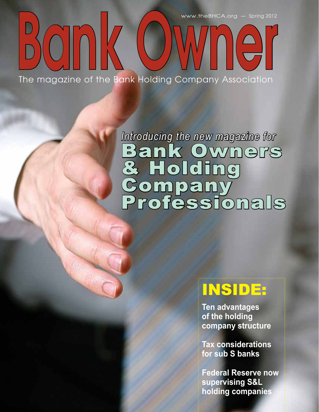www.theBHCA.org — Spring 2012

# nk OWNner The magazine of the Bank Holding Company Association

# *Introducing the new magazine for* Bank Owners & Holding Company Professionals

# INSIDE:

**Ten advantages of the holding company structure**

**Tax considerations for sub S banks**

**Federal Reserve now supervising S&L holding companies**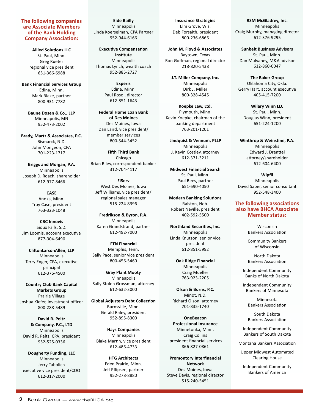#### **The following companies are Associate Members of the Bank Holding Company Association:**

**Allied Solutions LLC** St. Paul, Minn. Greg Rueter regional vice president 651-366-6988

**Bank Financial Services Group** Edina, Minn. Mark Blake, partner 800-931-7782

> **Baune Dosen & Co., LLP** Minneapolis, MN 952-473-2002

**Brady, Martz & Associates, P.C.** Bismarck, N.D. John Mongeon, CPA 701-223-1717

**Briggs and Morgan, P.A.** Minneapolis Joseph D. Roach, shareholder 612-977-8466

> **CASE** Anoka, Minn. Troy Case, president 763-323-1048

**CBC Innovis** Sioux Falls, S.D. Jim Loomis, account executive 877-304-6490

**CliftonLarsonAllen, LLP** Minneapolis Terry Enger, CPA, executive principal 612-376-4500

**Country Club Bank Capital Markets Group** Prairie Village Joshua Kiefer, investment officer 800-288-5489

**David R. Peltz & Company, P.C., LTD** Minneapolis David R. Peltz, CPA, president 952-525-0336

**Dougherty Funding, LLC** Minneapolis Jerry Tabolich executive vice president/COO 612-317-2000

**Eide Bailly** Minneapolis Linda Koerselman, CPA Partner 952-944-6166

**Executive Compensation Institute** Minneapolis Thomas Lynch, wealth coach 952-885-2727

> **Experis** Edina, Minn. Paul Rosol, director 612-851-1643

**Federal Home Loan Bank of Des Moines** Des Moines, Iowa Dan Laird, vice president/ member services 800-544-3452

**Fifth Third Bank** Chicago Brian Riley, correspondent banker 312-704-4117

**FiServ** West Des Moines, Iowa Jeff Williams, vice president/ regional sales manager 515-224-8396

**Fredrikson & Byron, P.A.** Minneapolis Karen Grandstrand, partner 612-492-7000

**FTN Financial** Memphis, Tenn. Sally Pace, senior vice president 800-456-5460

**Gray Plant Mooty** Minneapolis Sally Stolen Grossman, attorney 612-632-3000

**Global Adjusters Debt Collection** Burnsville, Minn. Gerald Raley, president 952-895-8300

**Hays Companies** Minneapolis Blake Martin, vice president 612-486-4733

> **HTG Architects** Eden Prairie, Minn. Jeff Pflipsen, partner 952-278-8880

**Insurance Strategies** Elm Grove, Wis. Deb Forsaith, president 800-236-6866

**John M. Floyd & Associates** Baytown, Texas Ron Goffman, regional director 218-820-5438

**J.T. Miller Company, Inc.** Minneapolis Dirk J. Miller 800-328-4545

**Koepke Law, Ltd.** Plymouth, Minn. Kevin Koepke, chairman of the banking department 763-201-1201

**Lindquist & Vennum, PLLP** Minneapolis J. Kevin Costley, attorney 612-371-3211

**Midwest Financial Search** St. Paul, Minn. Paul Bees, partner 651-690-4050

**Modern Banking Solutions** Ralston, Neb. Robert Neville, president 402-592-5500

**Northland Securities, Inc.** Minneapolis Linda Knutson, senior vice president 612-851-5992

> **Oak Ridge Financial**  Minneapolis Craig Mueller 763-923-2205

**Olson & Burns, P.C.** Minot, N.D. Richard Olson, attorney 701-835-1740

**OneBeacon Professional Insurance** Minnetonka, Minn. Craig Collins president financial services 866-827-0861

**Promontory Interfinancial Network** Des Moines, Iowa Steve Davis, regional director 515-240-5451

**RSM McGladrey, Inc.** Minneapolis Craig Murphy, managing director 612-376-9295

**Sunbelt Business Advisors** St. Paul, Minn. Dan Mulvaney, M&A advisor 612-860-0047

**The Baker Group** Oklahoma City, Okla. Gerry Hart, account executive 405-415-7200

**Wilary Winn LLC** St. Paul, Minn. Douglas Winn, president 651-224-1200

**Winthrop & Weinstine, P.A.** Minneapolis Edward J. Drenttel attorney/shareholder 612-604-6400

**Wipfli** Minneapolis David Saber, senior consultant 952-548-3400

#### **The following associations also have BHCA Associate Member status:**

Wisconsin Bankers Association

Community Bankers of Wisconsin

North Dakota Bankers Association

Independent Community Banks of North Dakota

Independent Community Bankers of Minnesota

> Minnesota Bankers Association

> South Dakota Bankers Association

Independent Community Bankers of South Dakota

Montana Bankers Association

Upper Midwest Automated Clearing House

Independent Community Bankers of America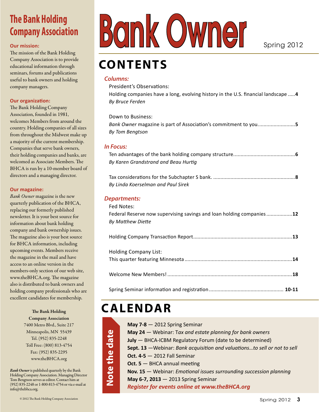# **The Bank Holding Company Association**

#### **Our mission:**

The mission of the Bank Holding Company Association is to provide educational information through seminars, forums and publications useful to bank owners and holding company managers.

#### **Our organization:**

The Bank Holding Company Association, founded in 1981, welcomes Members from around the country. Holding companies of all sizes from throughout the Midwest make up a majority of the current membership. Companies that serve bank owners, their holding companies and banks, are welcomed as Associate Members. The BHCA is run by a 10-member board of directors and a managing director.

#### **Our magazine:**

*Bank Owner* magazine is the new quarterly publication of the BHCA, replacing our formerly published newsletter. It is your best source for information about bank holding company and bank ownership issues. The magazine also is your best source for BHCA information, including upcoming events. Members receive the magazine in the mail and have access to an online version in the members-only section of our web site, www.theBHCA.org. The magazine also is distributed to bank owners and holding company professionals who are excellent candidates for membership.

> The Bank Holding Company Association 7400 Metro Blvd., Suite 217 Minneapolis, MN 55439 Tel. (952) 835-2248 Toll Free: (800) 813-4754 Fax: (952) 835-2295 www.theBHCA.org

*Bank Owner* is published quarterly by the Bank Holding Company Association. Managing Director Tom Bengtson serves as editor. Contact him at (952) 835-2248 or 1-800-813-4754 or via e-mail at info@thebhca.org.

# **contents**

#### *Columns:*

President's Observations:

Holding companies have a long, evolving history in the U.S. financial landscape .....**4** *By Bruce Ferden*

Down to Business:

*Bank Owner* magazine is part of Association's commitment to you..........................**5** *By Tom Bengtson*

#### *In Focus:*

Ten advantages of the bank holding company structure...........................................**6** *By Karen Grandstrand and Beau Hurtig*

Tax considerations for the Subchapter S bank. .........................................................**8** *By Linda Koerselman and Paul Sirek*

#### *Departments:*

| Fed Notes:                                                           |  |
|----------------------------------------------------------------------|--|
| Federal Reserve now supervising savings and loan holding companies12 |  |
| By Matthew Diette                                                    |  |
|                                                                      |  |
| <b>Holding Company List:</b>                                         |  |

# **Calendar**

| May $7-8 - 2012$ Spring Seminar                                           |
|---------------------------------------------------------------------------|
| May 24 - Webinar: Tax and estate planning for bank owners                 |
| July - BHCA-ICBM Regulatory Forum (date to be determined)                 |
| Sept. 13 - Webinar: Bank acquisition and valuationsto sell or not to sell |
| <b>Oct. 4-5 - 2012 Fall Seminar</b>                                       |
| <b>Oct. 5 - BHCA annual meeting</b>                                       |
| Nov. 15 - Webinar: Emotional issues surrounding succession planning       |
| May 6-7, 2013 - 2013 Spring Seminar                                       |
| <b>Register for events online at www.theBHCA.org</b>                      |
|                                                                           |

© 2012 The Bank Holding Company Association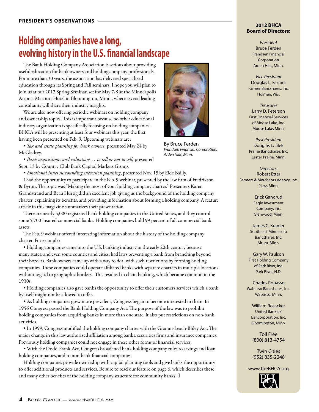# **Holding companies have a long, evolving history in the U.S. financial landscape**

The Bank Holding Company Association is serious about providing useful education for bank owners and holding company professionals. For more than 30 years, the association has delivered specialized education through its Spring and Fall seminars. I hope you will plan to join us at our 2012 Spring Seminar, set for May 7-8 at the Minneapolis Airport Marriott Hotel in Bloomington, Minn., where several leading consultants will share their industry insights.

We are also now offering periodic webinars on holding company and ownership topics. This is important because no other educational industry organization is specifically focusing on holding companies. BHCA will be presenting at least four webinars this year, the first having been presented on Feb. 9. Upcoming webinars are:

*• Tax and estate planning for bank owners*, presented May 24 by McGladrey.

*• Bank acquisitions and valuations… to sell or not to sell*, presented Sept. 13 by Country Club Bank Capital Markets Group.

*• Emotional issues surrounding succession planning*, presented Nov. 15 by Eide Bailly.

I had the opportunity to participate in the Feb. 9 webinar, presented by the law firm of Fredrikson & Byron. The topic was "Making the most of your holding company charter." Presenters Karen Grandstrand and Beau Hurtig did an excellent job giving us the background of the holding company charter, explaining its benefits, and providing information about forming a holding company. A feature article in this magazine summarizes their presentation.

There are nearly 5,000 registered bank holding companies in the United States, and they control some 5,700 insured commercial banks. Holding companies hold 99 percent of all commercial bank assets.

The Feb. 9 webinar offered interesting information about the history of the holding company charter. For example:

*•* Holding companies came into the U.S. banking industry in the early 20th century because many states, and even some counties and cities, had laws preventing a bank from branching beyond their borders. Bank owners came up with a way to deal with such restrictions by forming holding companies. These companies could operate affiliated banks with separate charters in multiple locations without regard to geographic borders. This resulted in chain banking, which became common in the 1930s.

*•* Holding companies also gave banks the opportunity to offer their customers services which a bank by itself might not be allowed to offer.

*•* As holding companies grew more prevalent, Congress began to become interested in them. In 1956 Congress passed the Bank Holding Company Act. The purpose of the law was to prohibit holding companies from acquiring banks in more than one state. It also put restrictions on non-bank activities.

*•* In 1999, Congress modified the holding company charter with the Gramm-Leach-Bliley Act. The major change in this law authorized affiliation among banks, securities firms and insurance companies. Previously holding companies could not engage in these other forms of financial services.

*•* With the Dodd-Frank Act, Congress broadened bank holding company rules to savings and loan holding companies, and to non-bank financial companies.

Holding companies provide ownership with capital planning tools and give banks the opportunity to offer additional products and services. Be sure to read our feature on page 6, which describes these and many other benefits of the holding company structure for community banks. I

Bank Owner — www.theBHCA.org



By Bruce Ferden *Frandsen Financial Corporation, Arden Hills, Minn.*

*Directors:* Robert Etter Farmers & Merchants Agency, Inc.

> Erick Gandrud Eagle Investment Company, Inc. Glenwood, Minn.

James C. Kramer Southeast Minnesota Bancshares, Inc. Altura, Minn.

Gary W. Paulson First Holding Company of Park River, Inc. Park River, N.D.

Charles Robasse Wabasso Bancshares, Inc. Wabasso, Minn.

William Rosacker United Bankers' Bancorporation, Inc. Bloomington, Minn.

Toll Free (800) 813-4754

Twin Cities (952) 835-2248

www.theBHCA.org



*President* Bruce Ferden Frandsen Financial Corporation Arden Hills, Minn.

*Vice President* Douglas L. Farmer Farmer Bancshares, Inc. Holmen, Wis.

*Treasurer* Larry D. Peterson First Financial Services of Moose Lake, Inc. Moose Lake, Minn.

*Past President* Douglas L. Jilek Prairie Bancshares, Inc. Lester Prairie, Minn.

Pierz, Minn.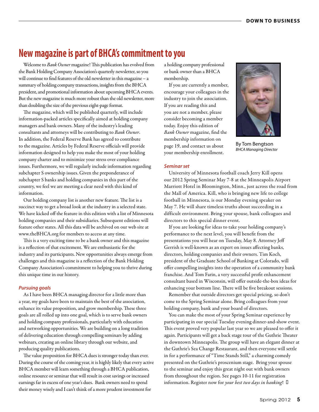## **New magazine is part of BHCA's commitment to you**

Welcome to *Bank Owner* magazine! This publication has evolved from the Bank Holding Company Association's quarterly newsletter, so you will continue to find features of the old newsletter in this magazine – a summary of holding company transactions, insights from the BHCA president, and promotional information about upcoming BHCA events. But the new magazine is much more robust than the old newsletter, more than doubling the size of the previous eight-page format.

The magazine, which will be published quarterly, will include information-packed articles specifically aimed at holding company managers and bank owners. Many of the industry's leading consultants and attorneys will be contributing to *Bank Owner*. In addition, the Federal Reserve Bank has agreed to contribute to the magazine. Articles by Federal Reserve officials will provide information designed to help you make the most of your holding company charter and to minimize your stress over compliance issues. Furthermore, we will regularly include information regarding subchapter S ownership issues. Given the preponderance of subchapter S banks and holding companies in this part of the country, we feel we are meeting a clear need with this kind of information.

Our holding company list is another new feature. The list is a succinct way to get a broad look at the industry in a selected state. We have kicked off the feature in this edition with a list of Minnesota holding companies and their subsidiaries. Subsequent editions will feature other states. All this data will be archived on our web site at www.theBHCA.org for members to access at any time.

This is a very exciting time to be a bank owner and this magazine is a reflection of that excitement. We are enthusiastic for the industry and its participants. New opportunities always emerge from challenges and this magazine is a reflection of the Bank Holding Company Association's commitment to helping you to thrive during this unique time in our history.

#### *Pursuing goals*

As I have been BHCA managing director for a little more than a year, my goals have been to maintain the best of the association, enhance its value proposition, and grow membership. These three goals are all rolled up into one goal, which is to serve bank owners and holding company professionals, particularly with education and networking opportunities. We are building on a long tradition of delivering education through compelling seminars by adding webinars, creating an online library through our website, and producing quality publications.

The value proposition for BHCA dues is stronger today than ever. During the course of the coming year, it is highly likely that every active BHCA member will learn something through a BHCA publication, online resource or seminar that will result in cost savings or increased earnings far in excess of one year's dues. Bank owners need to spend their money wisely and I can't think of a more prudent investment for

a holding company professional or bank owner than a BHCA membership.

If you are currently a member, encourage your colleagues in the industry to join the association. If you are reading this and you are not a member, please consider becoming a member today. Enjoy this edition of *Bank Owner* magazine, find the membership information on page 19, and contact us about your membership enrollment.



By Tom Bengtson *BHCA Managing Director*

#### *Seminar set*

University of Minnesota football coach Jerry Kill opens our 2012 Spring Seminar May 7-8 at the Minneapolis Airport Marriott Hotel in Bloomington, Minn., just across the road from the Mall of America. Kill, who is bringing new life to college football in Minnesota, is our Monday evening speaker on May 7. He will share timeless truths about succeeding in a difficult environment. Bring your spouse, bank colleagues and directors to this special dinner event.

If you are looking for ideas to take your holding company's performance to the next level, you will benefit from the presentations you will hear on Tuesday, May 8. Attorney Jeff Gerrish is well-known as an expert on issues affecting banks, directors, holding companies and their owners. Tim Koch, president of the Graduate School of Banking at Colorado, will offer compelling insights into the operation of a community bank franchise. And Tom Farin, a very successful profit enhancement consultant based in Wisconsin, will offer outside-the-box ideas for enhancing your bottom line. There will be five breakout sessions.

Remember that outside directors get special pricing, so don't come to the Spring Seminar alone. Bring colleagues from your holding company, bank and your board of directors.

You can make the most of your Spring Seminar experience by participating in our special Tuesday evening dinner-and-show event. This event proved very popular last year so we are pleased to offer it again. Participants will get a back stage tour of the Guthrie Theater in downtown Minneapolis. The group will have an elegant dinner at the Guthrie's Sea Change Restaurant, and then everyone will settle in for a performance of "Time Stands Still," a charming comedy presented on the Guthrie's proscenium stage. Bring your spouse to the seminar and enjoy this great night out with bank owners from throughout the region. See pages 10-11 for registration information. Register now for *your best two days in banking*! '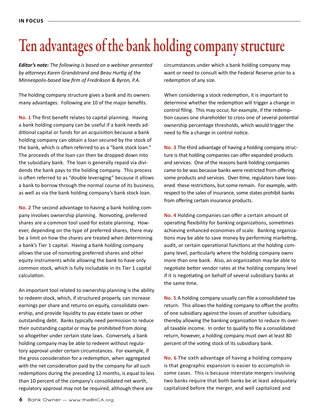# Ten advantages of the bank holding company structure

*Editor's note: The following is based on a webinar presented by attorneys Karen Grandstrand and Beau Hurtig of the Minneapolis-based law firm of Fredrikson & Byron, P.A.*

The holding company structure gives a bank and its owners many advantages. Following are 10 of the major benefits.

**No. 1** The first benefit relates to capital planning. Having a bank holding company can be useful if a bank needs additional capital or funds for an acquisition because a bank holding company can obtain a loan secured by the stock of the bank, which is often referred to as a "bank stock loan." The proceeds of the loan can then be dropped down into the subsidiary bank. The loan is generally repaid via dividends the bank pays to the holding company. This process is often referred to as "double leveraging" because it allows a bank to borrow through the normal course of its business, as well as via the bank holding company's bank stock loan.

**No. 2** The second advantage to having a bank holding company involves ownership planning. Nonvoting, preferred shares are a common tool used for estate planning. However, depending on the type of preferred shares, there may be a limit on how the shares are treated when determining a bank's Tier 1 capital. Having a bank holding company allows the use of nonvoting preferred shares and other equity instruments while allowing the bank to have only common stock, which is fully includable in its Tier 1 capital calculation.

An important tool related to ownership planning is the ability to redeem stock, which, if structured properly, can increase earnings per share and returns on equity, consolidate ownership, and provide liquidity to pay estate taxes or other outstanding debt. Banks typically need permission to reduce their outstanding capital or may be prohibited from doing so altogether under certain state laws. Conversely, a bank holding company may be able to redeem without regulatory approval under certain circumstances. For example, if the gross consideration for a redemption, when aggregated with the net consideration paid by the company for all such redemptions during the preceding 12 months, is equal to less than 10 percent of the company's consolidated net worth, regulatory approval may not be required, although there are

circumstances under which a bank holding company may want or need to consult with the Federal Reserve prior to a redemption of any size.

When considering a stock redemption, it is important to determine whether the redemption will trigger a change in control filing. This may occur, for example, if the redemption causes one shareholder to cross one of several potential ownership percentage thresholds, which would trigger the need to file a change in control notice.

**No. 3** The third advantage of having a holding company structure is that holding companies can offer expanded products and services. One of the reasons bank holding companies came to be was because banks were restricted from offering some products and services. Over time, regulators have loosened these restrictions, but some remain. For example, with respect to the sales of insurance, some states prohibit banks from offering certain insurance products.

**No. 4** Holding companies can offer a certain amount of operating flexibility for banking organizations, sometimes achieving enhanced economies of scale. Banking organizations may be able to save money by performing marketing, audit, or certain operational functions at the holding company level, particularly where the holding company owns more than one bank. Also, an organization may be able to negotiate better vendor rates at the holding company level if it is negotiating on behalf of several subsidiary banks at the same time.

**No. 5** A holding company usually can file a consolidated tax return. This allows the holding company to offset the profits of one subsidiary against the losses of another subsidiary, thereby allowing the banking organization to reduce its overall taxable income. In order to qualify to file a consolidated return, however, a holding company must own at least 80 percent of the voting stock of its subsidiary bank.

**No. 6** The sixth advantage of having a holding company is that geographic expansion is easier to accomplish in some cases. This is because interstate mergers involving two banks require that both banks be at least adequately capitalized before the merger, and well capitalized and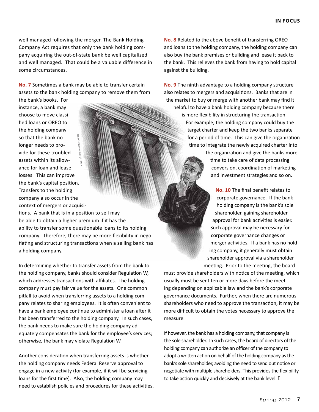well managed following the merger. The Bank Holding Company Act requires that only the bank holding company acquiring the out-of-state bank be well capitalized and well managed. That could be a valuable difference in some circumstances.

**No. 7** Sometimes a bank may be able to transfer certain assets to the bank holding company to remove them from

the bank's books. For instance, a bank may choose to move classified loans or OREO to the holding company so that the bank no longer needs to provide for these troubled assets within its allowance for loan and lease losses. This can improve the bank's capital position. Transfers to the holding company also occur in the context of mergers or acquisi-©iStockphoto.com/George Peters

tions. A bank that is in a position to sell may be able to obtain a higher premium if it has the ability to transfer some questionable loans to its holding company. Therefore, there may be more flexibility in negotiating and structuring transactions when a selling bank has a holding company.

In determining whether to transfer assets from the bank to the holding company, banks should consider Regulation W, which addresses transactions with affiliates. The holding company must pay fair value for the assets. One common pitfall to avoid when transferring assets to a holding company relates to sharing employees. It is often convenient to have a bank employee continue to administer a loan after it has been transferred to the holding company. In such cases, the bank needs to make sure the holding company adequately compensates the bank for the employee's services; otherwise, the bank may violate Regulation W.

Another consideration when transferring assets is whether the holding company needs Federal Reserve approval to engage in a new activity (for example, if it will be servicing loans for the first time). Also, the holding company may need to establish policies and procedures for these activities. **No. 8** Related to the above benefit of transferring OREO and loans to the holding company, the holding company can also buy the bank premises or building and lease it back to the bank. This relieves the bank from having to hold capital against the building.

**No. 9** The ninth advantage to a holding company structure also relates to mergers and acquisitions. Banks that are in the market to buy or merge with another bank may find it helpful to have a bank holding company because there is more flexibility in structuring the transaction. For example, the holding company could buy the target charter and keep the two banks separate for a period of time. This can give the organization time to integrate the newly acquired charter into the organization and give the banks more time to take care of data processing conversion, coordination of marketing and investment strategies and so on.

> **No. 10** The final benefit relates to corporate governance. If the bank holding company is the bank's sole shareholder, gaining shareholder approval for bank activities is easier. Such approval may be necessary for corporate governance changes or merger activities. If a bank has no holding company, it generally must obtain shareholder approval via a shareholder meeting. Prior to the meeting, the board

must provide shareholders with notice of the meeting, which usually must be sent ten or more days before the meeting depending on applicable law and the bank's corporate governance documents. Further, when there are numerous shareholders who need to approve the transaction, it may be more difficult to obtain the votes necessary to approve the measure.

If however, the bank has a holding company, that company is the sole shareholder. In such cases, the board of directors of the holding company can authorize an officer of the company to adopt a written action on behalf of the holding company as the bank's sole shareholder, avoiding the need to send out notice or negotiate with multiple shareholders. This provides the flexibility to take action quickly and decisively at the bank level.  $\Box$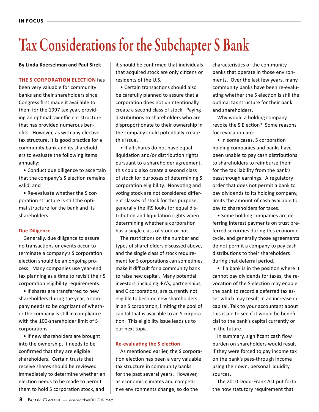# Tax Considerations for the Subchapter S Bank

**By Linda Koerselman and Paul Sirek**

#### **The S corporation election** has

been very valuable for community banks and their shareholders since Congress first made it available to them for the 1997 tax year, providing an optimal tax-efficient structure that has provided numerous benefits. However, as with any elective tax structure, it is good practice for a community bank and its shareholders to evaluate the following items annually:

• Conduct due diligence to ascertain that the company's S election remains valid; and

• Re-evaluate whether the S corporation structure is still the optimal structure for the bank and its shareholders

#### **Due Diligence**

Generally, due diligence to assure no transactions or events occur to terminate a company's S corporation election should be an ongoing process. Many companies use year-end tax planning as a time to revisit their S corporation eligibility requirements.

• If shares are transferred to new shareholders during the year, a company needs to be cognizant of whether the company is still in compliance with the 100-shareholder limit of S corporations.

• If new shareholders are brought into the ownership, it needs to be confirmed that they are eligible shareholders. Certain trusts that receive shares should be reviewed immediately to determine whether an election needs to be made to permit them to hold S corporation stock, and

it should be confirmed that individuals that acquired stock are only citizens or residents of the U.S.

• Certain transactions should also be carefully planned to assure that a corporation does not unintentionally create a second class of stock. Paying distributions to shareholders who are disproportionate to their ownership in the company could potentially create this issue.

• If all shares do not have equal liquidation and/or distribution rights pursuant to a shareholder agreement, this could also create a second class of stock for purposes of determining S corporation eligibility. Nonvoting and voting stock are not considered different classes of stock for this purpose, generally the IRS looks for equal distribution and liquidation rights when determining whether a corporation has a single class of stock or not.

The restrictions on the number and types of shareholders discussed above, and the single class of stock requirement for S corporations can sometimes make it difficult for a community bank to raise new capital. Many potential investors, including IRA's, partnerships, and C corporations, are currently not eligible to become new shareholders in an S corporation, limiting the pool of capital that is available to an S corporation. This eligibility issue leads us to our next topic.

#### **Re-evaluating the S election**

As mentioned earlier, the S corporation election has been a very valuable tax structure in community banks for the past several years. However, as economic climates and competitive environments change, so do the

characteristics of the community banks that operate in those environments. Over the last few years, many community banks have been re-evaluating whether the S election is still the optimal tax structure for their bank and shareholders.

Why would a holding company revoke the S Election? Some reasons for revocation are:

• In some cases, S corporation holding companies and banks have been unable to pay cash distributions to shareholders to reimburse them for the tax liability from the bank's passthrough earnings. A regulatory order that does not permit a bank to pay dividends to its holding company, limits the amount of cash available to pay to shareholders for taxes.

• Some holding companies are deferring interest payments on trust preferred securities during this economic cycle, and generally those agreements do not permit a company to pay cash distributions to their shareholders during that deferral period.

• If a bank is in the position where it cannot pay dividends for taxes, the revocation of the S election may enable the bank to record a deferred tax asset which may result in an increase in capital. Talk to your accountant about this issue to see if it would be beneficial to the bank's capital currently or in the future.

In summary, significant cash flow burden on shareholders would result if they were forced to pay income tax on the bank's pass-through income using their own, personal liquidity sources.

The 2010 Dodd-Frank Act put forth the now statutory requirement that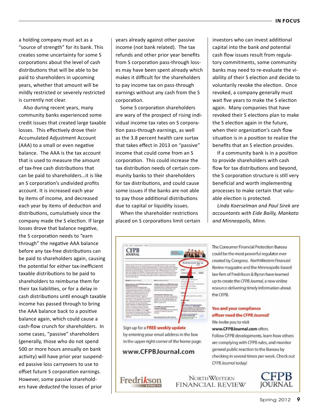a holding company must act as a "source of strength" for its bank. This creates some uncertainty for some S corporations about the level of cash distributions that will be able to be paid to shareholders in upcoming years, whether that amount will be mildly restricted or severely restricted is currently not clear.

Also during recent years, many community banks experienced some credit issues that created large taxable losses. This effectively drove their Accumulated Adjustment Account (AAA) to a small or even negative balance. The AAA is the tax account that is used to measure the amount of tax-free cash distributions that can be paid to shareholders…it is like an S corporation's undivided profits account. It is increased each year by items of income, and decreased each year by items of deduction and distributions, cumulatively since the company made the S election. If large losses drove that balance negative, the S corporation needs to "earn through" the negative AAA balance before any tax-free distributions can be paid to shareholders again, causing the potential for either tax-inefficient taxable distributions to be paid to shareholders to reimburse them for their tax liabilities, or for a delay in cash distributions until enough taxable income has passed through to bring the AAA balance back to a positive balance again, which could cause a cash-flow crunch for shareholders. In some cases, "passive" shareholders (generally, those who do not spend 500 or more hours annually on bank activity) will have prior year suspended passive loss carryovers to use to offset future S corporation earnings. However, some passive shareholders have *deducted* the losses of prior

years already against other passive income (not bank related). The tax refunds and other prior year benefits from S corporation pass-through losses may have been spent already which makes it difficult for the shareholders to pay income tax on pass-through earnings without any cash from the S corporation.

Some S corporation shareholders are wary of the prospect of rising individual income tax rates on S corporation pass-through earnings, as well as the 3.8 percent health care surtax that takes effect in 2013 on "passive" income that could come from an S corporation. This could increase the tax distribution needs of certain community banks to their shareholders for tax distributions, and could cause some issues if the banks are not able to pay those additional distributions due to capital or liquidity issues.

When the shareholder restrictions placed on S corporations limit certain

| <b>CFPB</b><br><b>JOURNAL</b>                                                                                                                                                                                                                                                                                                                                                                                                                                                                                                                                                                                                                                                                                                                                      | AT AL<br><b>PERTILLE</b>                                                                                                                                                                                                      |                                                           |
|--------------------------------------------------------------------------------------------------------------------------------------------------------------------------------------------------------------------------------------------------------------------------------------------------------------------------------------------------------------------------------------------------------------------------------------------------------------------------------------------------------------------------------------------------------------------------------------------------------------------------------------------------------------------------------------------------------------------------------------------------------------------|-------------------------------------------------------------------------------------------------------------------------------------------------------------------------------------------------------------------------------|-----------------------------------------------------------|
| Norma e da 2008, constituirse additionale de Mondale Academie Concert France<br>structures from and internal success, on one of the panel. So well after<br>technologie and without the local contract of the forms can won't be account also<br>in Post-Funk Visit Amerikans and European Position Air 2010. An Finish Re-<br>Results consistent which presion actions future PPR execution racibic<br>silvers and collected with 1974 with. And revolve generationly applied to the Brook by Publiship is<br>dep white 1976 during the called FRID metric selection and what advance to the<br>led at the spain (gift nonse timins page. Must report is a harm our best-plane and a factories to<br>look of the call "allower<br>alone at De 1778 Quantities and | dealer catalog in air (2774) school kil                                                                                                                                                                                       | PR sales                                                  |
| <b>ATACH REGISTER</b><br>signal interior<br>All I may consent to color APM To permise.<br>deputy checks 1.0, Janisburg<br>in the Brazilia, the Manual is ol probe to believing                                                                                                                                                                                                                                                                                                                                                                                                                                                                                                                                                                                     | an expert of the content service content<br>to create the schedule for convergences<br>from this first couple to get discussively by<br><b>Andrew Printer Castle for Business</b>                                             |                                                           |
|                                                                                                                                                                                                                                                                                                                                                                                                                                                                                                                                                                                                                                                                                                                                                                    |                                                                                                                                                                                                                               |                                                           |
| <b>UPS at calculation and and the local and the context</b><br>backup cannon colorador that had color, has<br>SERVICE CHARTERSTEIN AUTORITY / VIRGI<br>canno with model state 10-20 states of appreciation<br>tax drivate, are an excellent<br>Analyz chief continues apparent factories and<br>in the proportional resource and press<br>published and the company's state of the following against<br><b>CLARKER</b>                                                                                                                                                                                                                                                                                                                                             | SFTS -ANNUAL BUSINESS GLOS<br>seniority seals around inance server<br>sale-francisk den menne sierdnas-antrap<br>armam is ran rate virtual beginning & into<br>Stenbra-Fund Texner Inc. (808 de1te)<br>present a cause street | <b>Cor SASE</b><br><b><i><u>In Bremen Barbass</u></i></b> |

Sign up for a FREE weekly update by entering your email address in the box in the upper right corner of the home page.

#### www.CFPBJournal.com

**Fredrikson** 

investors who can invest additional capital into the bank *and* potential cash flow issues result from regulatory commitments, some community banks may need to re-evaluate the viability of their S election and decide to voluntarily revoke the election. Once revoked, a company generally must wait five years to make the S election again. Many companies that have revoked their S elections plan to make the S election again in the future, when their organization's cash flow situation is in a position to realize the benefits that an S election provides.

If a community bank is in a position to provide shareholders with cash flow for tax distributions and beyond, the S corporation structure is still very beneficial and worth implementing processes to make certain that valuable election is protected.

*Linda Koerselman and Paul Sirek are accountants with Eide Bailly, Mankato and Minneapolis, Minn.* 

The Consumer Financial Protection Bureau could be the most powerful regulator ever created by Congress. NorthWestern Financial Review magazine and the Minneapolis-based law firm of Fredrikson & Byron have teamed up to create the CFPB Journal, a new online resource delivering timely information about the CFPB.

#### You and your compliance officer need the CFPB Journal! We invite you to visit

#### www.CFPBJournal.com often.

**NORTHWESTERN** 

FINANCIAL REVIEW

Follow CFPB developments, learn how others are complying with CFPB rules, and monitor general public reaction to the Bureau by checking in several times per week. Check out CFPB Journal today!

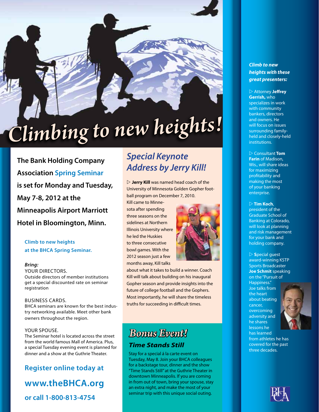# *Climbing to new heights!*

**The Bank Holding Company Association Spring Seminar is set for Monday and Tuesday, May 7-8, 2012 at the Minneapolis Airport Marriott Hotel in Bloomington, Minn.** 

#### **Climb to new heights at the BHCA Spring Seminar.**

#### *Bring:*

YOUR DIRECTORS. Outside directors of member institutions get a special discounted rate on seminar registration

#### Business cards.

BHCA seminars are known for the best industry networking available. Meet other bank owners throughout the region.

#### Your spouse.

The Seminar hotel is located across the street from the world famous Mall of America. Plus, a special Tuesday evening event is planned for dinner and a show at the Guthrie Theater.

#### **Register online today at**

### **www.theBHCA.org**

**or call 1-800-813-4754**

### *Special Keynote Address by Jerry Kill!*

 $\triangleright$  **Jerry Kill** was named head coach of the University of Minnesota Golden Gopher football program on December 7, 2010.

Kill came to Minnesota after spending three seasons on the sidelines at Northern Illinois University where he led the Huskies to three consecutive bowl games. With the 2012 season just a few months away, Kill talks



about what it takes to build a winner. Coach Kill will talk about building on his inaugural Gopher season and provide insights into the future of college football and the Gophers. Most importantly, he will share the timeless truths for succeeding in difficult times.

### *Bonus Event! Time Stands Still*

Stay for a special á la carte event on Tuesday, May 8. Join your BHCA colleagues for a backstage tour, dinner and the show "Time Stands Still" at the Guthrie Theater in downtown Minneapolis. If you are coming in from out of town, bring your spouse, stay an extra night, and make the most of your seminar trip with this unique social outing.

#### *Climb to new heights with these great presenters:*

 $\triangleright$  Attorney **Jeffrey Gerrish,** who specializes in work with community bankers, directors and owners. He will focus on issues surrounding familyheld and closely-held institutions.

w Consultant **Tom Farin** of Madison, Wis., will share ideas for maximizing profitability and making the most of your banking enterprise.

#### $\triangleright$  Tim Koch,

president of the Graduate School of Banking at Colorado, will look at planning and risk management for your bank and holding company.

#### $\triangleright$  **S**pecial guest

award-winning KSTP Sports Broadcaster **Joe Schmit** speaking on the "Pursuit of Happiness." Joe talks from the heart about beating cancer, overcoming adversity and he shares lessons he has learned



from athletes he has covered for the past three decades.

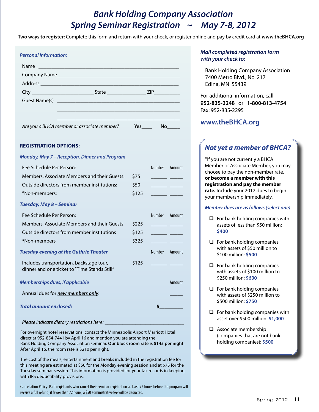### *Bank Holding Company Association Spring Seminar Registration ~ May 7-8, 2012*

**Two ways to register:** Complete this form and return with your check, or register online and pay by credit card at **www.theBHCA.org**

| <b>Personal Information:</b>                                                                                   |       |                        |               |
|----------------------------------------------------------------------------------------------------------------|-------|------------------------|---------------|
| Name                                                                                                           |       |                        |               |
| Company Name and the company of the company of the company of the company of the company of the company of the |       |                        |               |
|                                                                                                                |       |                        |               |
|                                                                                                                |       |                        |               |
|                                                                                                                |       |                        |               |
| Are you a BHCA member or associate member?                                                                     |       | $Yes$ No $N$           |               |
| <b>REGISTRATION OPTIONS:</b>                                                                                   |       |                        |               |
| Monday, May 7 - Reception, Dinner and Program                                                                  |       |                        |               |
| Fee Schedule Per Person:                                                                                       |       |                        | Number Amount |
| Members, Associate Members and their Guests:                                                                   | \$75  |                        |               |
| Outside directors from member institutions:                                                                    | \$50  |                        |               |
| *Non-members:                                                                                                  | \$125 | <u> Tanzania (Carl</u> |               |
| Tuesday, May 8 - Seminar                                                                                       |       |                        |               |
| Fee Schedule Per Person:                                                                                       |       | Number                 | Amount        |
| Members, Associate Members and their Guests                                                                    | \$225 |                        |               |
| Outside directors from member institutions                                                                     | \$125 | $\sim$ $\sim$          |               |
| *Non-members                                                                                                   | \$325 |                        |               |
| <b>Tuesday evening at the Guthrie Theater</b>                                                                  |       |                        | Number Amount |
| Includes transportation, backstage tour,<br>dinner and one ticket to "Time Stands Still"                       | \$125 |                        |               |
| <b>Memberships dues, if applicable</b>                                                                         |       |                        | Amount        |

Annual dues for *new members only*: \_\_\_\_\_

*Total amount enclosed:* **\$\_\_\_\_\_\_\_\_\_**

*Please indicate dietary restrictions here:* 

For overnight hotel reservations, contact the Minneapolis Airport Marriott Hotel direct at 952-854-7441 by April 16 and mention you are attending the Bank Holding Company Association seminar. **Our block room rate is \$145 per night**. After April 16, the room rate is \$210 per night.

The cost of the meals, entertainment and breaks included in the registration fee for this meeting are estimated at \$50 for the Monday evening session and at \$75 for the Tuesday seminar session. This information is provided for your tax records in keeping with IRS deductibility provisions.

Cancellation Policy: Paid registrants who cancel their seminar registration at least 72 hours before the program will receive a full refund; if fewer than 72 hours, a \$50 administrative fee will be deducted.

#### *Mail completed registration form with your check to:*

Bank Holding Company Association 7400 Metro Blvd., No. 217 Edina, MN 55439

For additional information, call **952-835-2248** or **1-800-813-4754** Fax: 952-835-2295

#### **www.theBHCA.org**

### *Not yet a member of BHCA?*

\*If you are not currently a BHCA Member or Associate Member, you may choose to pay the non-member rate, **or become a member with this registration and pay the member rate.** Include your 2012 dues to begin your membership immediately.

#### *Member dues are as follows (select one)*:

- $\Box$  For bank holding companies with assets of less than \$50 million: **\$400**
- $\Box$  For bank holding companies with assets of \$50 million to \$100 million: **\$500**
- $\Box$  For bank holding companies with assets of \$100 million to \$250 million: **\$600**
- $\Box$  For bank holding companies with assets of \$250 million to \$500 million: **\$750**
- $\Box$  For bank holding companies with asset over \$500 million: **\$1,000**
- $\Box$  Associate membership (companies that are not bank holding companies): **\$500**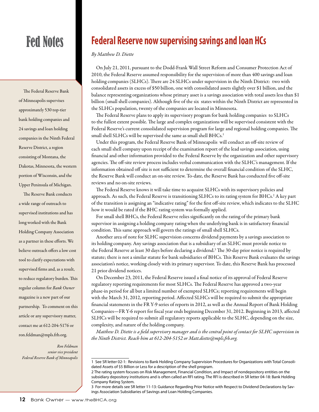# Fed Notes

The Federal Reserve Bank of Minneapolis supervises approximately 530 top-tier bank holding companies and 24 savings and loan holding companies in the Ninth Federal Reserve District, a region consisting of Montana, the Dakotas, Minnesota, the western portion of Wisconsin, and the Upper Peninsula of Michigan.

The Reserve Bank conducts a wide range of outreach to supervised institutions and has long worked with the Bank Holding Company Association as a partner in these efforts. We believe outreach offers a low cost tool to clarify expectations with supervised firms and, as a result, to reduce regulatory burden. This regular column for *Bank Owner* magazine is a new part of our partnership. To comment on this article or any supervisory matter, contact me at 612-204-5176 or ron.feldman@mpls.frb.org.

*Ron Feldman senior vice president Federal Reserve Bank of Minneapolis*

# **Federal Reserve now supervising savings and loan HCs**

#### *By Matthew D. Diette*

On July 21, 2011, pursuant to the Dodd-Frank Wall Street Reform and Consumer Protection Act of 2010, the Federal Reserve assumed responsibility for the supervision of more than 400 savings and loan holding companies (SLHCs). There are 24 SLHCs under supervision in the Ninth District: two with consolidated assets in excess of \$50 billion, one with consolidated assets slightly over \$1 billion, and the balance representing organizations whose primary asset is a savings association with total assets less than \$1 billion (small shell companies). Although five of the six states within the Ninth District are represented in the SLHCs population, twenty of the companies are located in Minnesota.

The Federal Reserve plans to apply its supervisory program for bank holding companies to SLHCs to the fullest extent possible. The large and complex organizations will be supervised consistent with the Federal Reserve's current consolidated supervision program for large and regional holding companies. The small shell SLHCs will be supervised the same as small shell BHCs.<sup>1</sup>

Under this program, the Federal Reserve Bank of Minneapolis will conduct an off-site review of each small shell company upon receipt of the examination report of the lead savings association, using financial and other information provided to the Federal Reserve by the organization and other supervisory agencies. The off-site review process includes verbal communication with the SLHC's management. If the information obtained off site is not sufficient to determine the overall financial condition of the SLHC, the Reserve Bank will conduct an on-site review. To-date, the Reserve Bank has conducted five off-site reviews and no on-site reviews.

The Federal Reserve knows it will take time to acquaint SLHCs with its supervisory policies and approach. As such, the Federal Reserve is transitioning SLHCs to its rating system for BHCs.<sup>2</sup> A key part of the transition is assigning an "indicative rating" for the first off-site review, which indicates to the SLHC how it would be rated if the BHC rating system was formally applied.

For small shell BHCs, the Federal Reserve relies significantly on the rating of the primary bank supervisor in assigning a holding company rating when the underlying bank is in satisfactory financial condition. This same approach will govern the ratings of small shell SLHCs.

Another area of note for SLHC supervision concerns dividend payments by a savings association to its holding company. Any savings association that is a subsidiary of an SLHC must provide notice to the Federal Reserve at least 30 days before declaring a dividend.<sup>3</sup> The 30-day prior notice is required by statute; there is not a similar statute for bank subsidiaries of BHCs. This Reserve Bank evaluates the savings association's notice, working closely with its primary supervisor. To date, this Reserve Bank has processed 21 prior dividend notices.

On December 23, 2011, the Federal Reserve issued a final notice of its approval of Federal Reserve regulatory reporting requirements for most SLHCs. The Federal Reserve has approved a two-year phase-in period for all but a limited number of exempted SLHCs; reporting requirements will begin with the March 31, 2012, reporting period. Affected SLHCs will be required to submit the appropriate financial statements in the FR Y-9 series of reports in 2012, as well as the Annual Report of Bank Holding Companies—FR Y-6 report for fiscal year ends beginning December 31, 2012. Beginning in 2013, affected SLHCs will be required to submit all regulatory reports applicable to the SLHC, depending on the size, complexity, and nature of the holding company.

*Matthew D. Diette is a field supervisory manager and is the central point of contact for SLHC supervision in the Ninth District. Reach him at 612-204-5152 or Matt.diette@mpls.frb.org.*

<sup>1</sup> See SR letter 02-1: Revisions to Bank Holding Company Supervision Procedures for Organizations with Total Consolidated Assets of \$5 Billion or Less for a description of the shell program.

<sup>2</sup> The rating system focuses on Risk Management, Financial Condition, and Impact of nondepository entities on the subsidiary depository institutions and is often called an RFI rating. The RFI is described in SR letter 04-18: Bank Holding Company Rating System.

<sup>3</sup> For more details see SR letter 11-13: Guidance Regarding Prior Notice with Respect to Dividend Declarations by Savings Association Subsidiaries of Savings and Loan Holding Companies.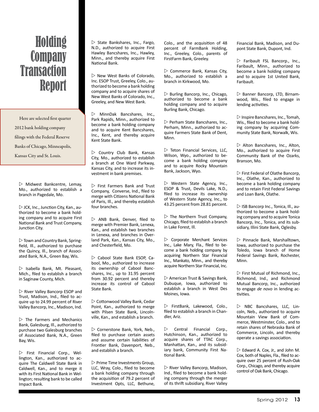# Holding **Company Transaction** Report

Here are selected first quarter 2012 bank holding company filings with the Federal Reserve Banks of Chicago, Minneapolis, Kansas City and St. Louis.

 $\triangleright$  Midwest Bankcentre, Lemay, Mo., authorized to establish a branch in Pagedale, Mo.

 $\triangleright$  JCK, Inc., Junction City, Kan., authorized to become a bank holding company and to acquire First National Bank and Trust Company, Junction City.

 $\triangleright$  Town and Country Bank, Springfield, Ill., authorized to purchase the Quincy, Ill., branch of Associated Bank, N.A., Green Bay, Wis.

 $\triangleright$  Isabella Bank, Mt. Pleasant, Mich., filed to establish a branch in Saginaw County, Mich.

 $\triangleright$  River Valley Bancorp ESOP and Trust, Madison, Ind., filed to acquire up to 24.99 percent of River Valley Bancorp, Inc., Madison, Ind.

 $\triangleright$  The Farmers and Mechanics Bank, Galesburg, Ill., authorized to purchase two Galesburg branches of Associated Bank, N.A., Green Bay, Wis.

 $\triangleright$  First Financial Corp., Wellington, Kan., authorized to acquire The Caldwell State Bank in Caldwell, Kan., and to merge it with its First National Bank in Wellington; resulting bank to be called Impact Bank.

 $\triangleright$  State Bankshares, Inc., Fargo, N.D., authorized to acquire First Hawley Bancshares, Inc., Hawley, Minn., and thereby acquire First National Bank.

 $\triangleright$  New West Banks of Colorado. Inc. ESOP Trust, Greeley, Colo., authorized to become a bank holding company and to acquire shares of New West Banks of Colorado, Inc., Greeley, and New West Bank.

 $\triangleright$  MinnDak Bancshares, Inc., Park Rapids, Minn., authorized to become a bank holding company and to acquire Kent Bancshares, Inc., Kent, and thereby acquire Kent State Bank.

 $\triangleright$  Country Club Bank, Kansas City, Mo., authorized to establish a branch at One Ward Parkway, Kansas City, and to increase its investment in bank premises.

 $\triangleright$  First Farmers Bank and Trust Company, Converse, Ind., filed to merge with Citizens National Bank of Paris, Ill., and thereby establish four branches.

 $\triangleright$  ANB Bank, Denver, filed to merge with Premier Bank, Lenexa, Kan., and establish two branches in Lenexa, and branches in Overland Park, Kan., Kansas City, Mo., and Chesterfield, Mo.

 $\triangleright$  Cabool State Bank ESOP, Cabool, Mo., authorized to increase its ownership of Cabool Bancshares, Inc., up to 31.95 percent from 30.92 percent and thereby increase its control of Cabool State Bank.

 $\triangleright$  Cottonwood Valley Bank, Cedar Point, Kan., authorized to merge with Pilsen State Bank, Lincolnville, Kan., and establish a branch.

 $\triangleright$  Cornerstone Bank, York, Neb., filed to purchase certain assets and assume certain liabilities of Frontier Bank, Davenport, Neb., and establish a branch.

 $\triangleright$  Prime Time Investments Group. LLC, Wray, Colo., filed to become a bank holding company through the acquisition of 79.2 percent of Investment Opts, LLC, Bethune, Colo., and the acquisition of 48 percent of FarmBank Holding, Inc., Greeley, Colo., parents of FirstFarm Bank, Greeley.

 $\triangleright$  Commerce Bank, Kansas City, Mo., authorized to establish a branch in Kirkwood, Mo.

 $\triangleright$  Burling Bancorp, Inc., Chicago, authorized to become a bank holding company and to acquire Burling Bank, Chicago.

 $\triangleright$  Perham State Bancshares, Inc., Perham, Minn., authorized to acquire Farmers State Bank of Dent, Minn.

 $\triangleright$  Teton Financial Services, LLC. Wilson, Wyo., authorized to become a bank holding company and to acquire Rocky Mountain Bank, Jackson, Wyo.

 $\triangleright$  Western State Agency, Inc., ESOP & Trust, Devils Lake, N.D., filed to increase its ownership of Western State Agency, Inc., to 43.25 percent from 28.81 percent.

 $\triangleright$  The Northern Trust Company, Chicago, filed to establish a branch in Lake Forest, Ill.

 $\triangleright$  Corporate Merchant Services Inc., Lake Mary, Fla., filed to become a bank holding company by acquiring Northern Star Financial Inc., Mankato, Minn., and thereby acquire Northern Star Financial, Inc.

 $\triangleright$  American Trust & Savings Bank, Dubuque, Iowa, authorized to establish a branch in West Des Moines, Iowa.

 $\triangleright$  FirstBank, Lakewood, Colo., filed to establish a branch in Chandler, Ariz.

 $\triangleright$  Central Financial Corp., Hutchinson, Kan., authorized to acquire shares of TTAC Corp., Manhattan, Kan., and its subsidiary bank, Community First National Bank.

 $\triangleright$  River Valley Bancorp, Madison, Ind., filed to become a bank holding company through the merger of its thrift subsidiary, River Valley

Financial Bank, Madison, and Dupont State Bank, Dupont, Ind.

 $\triangleright$  Faribault FSL Bancorp., Inc., Faribault, Minn., authorized to become a bank holding company and to acquire 1st United Bank, Faribault.

 $\triangleright$  Banner Bancorp, LTD, Birnamwood, Wis., filed to engage in lending activities.

 $\triangleright$  Inspire Bancshares, Inc., Tomah, Wis., filed to become a bank holding company by acquiring Community State Bank, Norwalk, Wis.

 $\triangleright$  Alton Bancshares, Inc., Alton, Mo., authorized to acquire First Community Bank of the Ozarks, Branson, Mo.

 $\triangleright$  First Federal of Olathe Bancorp. Inc., Olathe, Kan., authorized to become a bank holding company and to retain First Federal Savings and Loan Bank, Olathe.

 $\triangleright$  ISB Bancorp Inc., Tonica, Ill., authorized to become a bank holding company and to acquire Tonica Bancorp, Inc., Tonica, and its subsidiary, Illini State Bank, Oglesby.

 $\triangleright$  Pinnacle Bank, Marshalltown, Iowa, authorized to purchase the Toledo, Iowa branch of Home Federal Savings Bank, Rochester, Minn.

 $\triangleright$  First Mutual of Richmond, Inc., Richmond, Ind., and Richmond Mutual Bancorp, Inc., authorized to engage *de novo* in lending activities.

 $\triangleright$  NBC Bancshares, LLC, Lincoln, Neb., authorized to acquire Mountain View Bank of Commerce, Westminster, Colo., and to retain shares of Nebraska Bank of Commerce, Lincoln, and thereby operate a savings association.

 $\triangleright$  Edward A. Cox, Jr., and John M. Cox, both of Naples, Fla., filed to acquire over 25 percent of Rush-Oak Corp., Chicago, and thereby acquire control of Oak Bank, Chicago.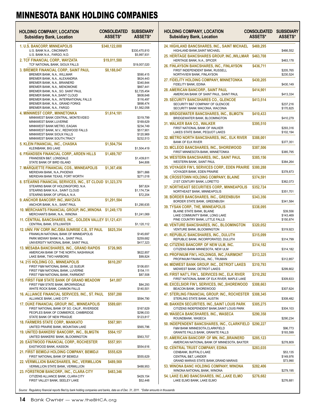| <b>HOLDING COMPANY, LOCATION</b><br><b>Subsidiary Bank, Location</b>                                               | <b>CONSOLIDATED</b><br><b>ASSETS*</b> | <b>SUBSIDIARY</b><br><b>ASSETS*</b> |
|--------------------------------------------------------------------------------------------------------------------|---------------------------------------|-------------------------------------|
| 1. U.S. BANCORP, MINNEAPOLIS                                                                                       | \$340,122,000                         |                                     |
| U.S. BANK N.A., CINCINNATI<br>U.S. BANK N.A., FARGO, N.D.                                                          |                                       | \$330,470,810<br>\$5,997,931        |
| 2. TCF FINANCIAL CORP., WAYZATA<br>TCF NATIONAL BANK, SIOUX FALLS                                                  | \$19,011,580                          | \$19,007,020                        |
| <b>3. BREMER FINANCIAL CORP., SAINT PAUL</b>                                                                       | \$8,188,047                           |                                     |
| BREMER BANK, N.A., WILLMAR                                                                                         |                                       | \$590,415                           |
| BREMER BANK, N.A., ALEXANDRIA                                                                                      |                                       | \$624,443                           |
| BREMER BANK, N.A., BRAINERD<br>BREMER BANK, N.A., MENOMONIE                                                        |                                       | \$340,844<br>\$667,441              |
| BREMER BANK, N.A., SO. SAINT PAUL                                                                                  |                                       | \$2,725,454                         |
| BREMER BANK, N.A., SAINT CLOUD                                                                                     |                                       | \$608,648                           |
| BREMER BANK, N.A., INTERNATIONAL FALLS<br>BREMER BANK, N.A., GRAND FORKS                                           |                                       | \$116,497<br>\$898,474              |
| BREMER BANK, N.A., FARGO                                                                                           |                                       | \$1,562,058                         |
| <b>4. MINNWEST CORP., MINNETONKA</b>                                                                               | \$1,614,181                           |                                     |
| MINNWEST BANK CENTRAL, MONTEVIDEO                                                                                  |                                       | \$319,799                           |
| MINNWEST BANK LUVERNE                                                                                              |                                       | \$169,629                           |
| MINNWEST BANK METRO, EAGAN<br>MINNWEST BANK, M.V., REDWOOD FALLS                                                   |                                       | \$234,749<br>\$517,901              |
| MINNWEST BANK SIOUX FALLS                                                                                          |                                       | \$120,969                           |
| MINNWEST BANK SOUTH, TRACY                                                                                         |                                       | \$232,513                           |
| 5. KLEIN FINANCIAL, INC., CHASKA<br>KLEINBANK, BIG LAKE                                                            | \$1,504,754                           | \$1,504,419                         |
| <b>6. FRANDSEN FINANCIAL CORP., ARDEN HILLS</b>                                                                    | \$1,489,787                           |                                     |
| FRANDSEN B&T, LONSDALE                                                                                             |                                       | \$1,439,611                         |
| STATE BANK OF BIRD ISLAND                                                                                          |                                       | \$44,806                            |
| <b>7. MARQUETTE FINANCIAL COS., MINNEAPOLIS</b>                                                                    | \$1,367,456                           |                                     |
| MERIDIAN BANK, N.A., PHOENIX<br>MERIDIAN BANK TEXAS, FORT WORTH                                                    |                                       | \$971,866<br>\$271,018              |
| 8. STEARNS FINANCIAL SERVICES, INC., ST CLOUD \$1,323,370                                                          |                                       |                                     |
| STEARNS BANK OF HOLDINGFORD, N.A.                                                                                  |                                       | \$87,824                            |
| STEARNS BANK N.A., SAINT CLOUD                                                                                     |                                       | \$1,174,734                         |
| STEARNS BANK OF UPSALA, N.A.                                                                                       |                                       | \$72,204                            |
| 9. ANCHOR BANCORP, INC., WAYZATA<br>ANCHOR BANK, N.A., SAINT PAUL                                                  | \$1,291,584                           | \$1,290,635                         |
| <b>10. MERCHANTS FINANCIAL GROUP, INC., WINONA</b><br>MERCHANTS BANK, N.A., WINONA                                 | \$1,249,170                           | \$1,241,069                         |
| 11. CENTRAL BANCSHARES, INC., GOLDEN VALLEY \$1,121,431<br>CENTRAL BANK, STILLWATER                                |                                       | \$1,120,112                         |
| 12. UNIV. FIN' CORP, INC./DBA SUNRISE C.B., ST PAUL                                                                | \$825,354                             |                                     |
| FRANKLIN NATIONAL BANK OF MINNEAPOLIS                                                                              |                                       | \$145,697                           |
| PARK MIDWAY BANK N.A., SAINT PAUL                                                                                  |                                       | \$259,682                           |
| UNIVERSITY NATIONAL BANK, SAINT PAUL                                                                               |                                       | \$417,323                           |
| <b>13. MESABA BANCSHARES, INC., GRAND RAPIDS</b><br>AMERICAN BANK OF THE NORTH, NASHWAUK<br>LAKE BANK, TWO HARBORS | \$726,965                             | \$622,857<br>\$99,824               |
| <b>14. 215 HOLDING CO., MINNEAPOLIS</b>                                                                            | \$610,297                             |                                     |
| FIRST F&M NATIONAL BANK, LE SUEUR                                                                                  |                                       | \$106,651                           |
| FIRST F&M NATIONAL BANK, LUVERNE                                                                                   |                                       | \$154,111                           |
| FIRST F&M NATIONAL BANK, FAIRMONT                                                                                  |                                       | \$87,508                            |
| <b>15. FIRST F&amp;M STATE BANK OF GRAND MEADOW</b>                                                                | \$41,007                              |                                     |
| FIRST F&M STATE BANK, BROWNSDALE<br>WHITE ROCK BANK, CANNON FALLS                                                  |                                       | \$84,293<br>\$140,501               |
| 16. ALLIANCE FINANCIAL SERVICES, INC., ST. PAUL                                                                    | \$597,280                             |                                     |
| ALLIANCE BANK, LAKE CITY                                                                                           |                                       | \$594,790                           |
| 17. DUKE FINANCIAL GROUP, INC., MINNEAPOLIS<br>FIRST NATIONAL BANK OF SO. CALIF., RIVERSIDE                        | \$589,681                             | \$167,629                           |
| PEOPLES BANK OF COMMERCE, CAMBRIDGE                                                                                |                                       | \$296,033                           |
| STATE BANK OF NEW PRAGUE                                                                                           |                                       | \$123,817                           |
| <b>18. FARMERS STATE CORP., MANKATO</b><br>UNITED PRAIRIE BANK, MOUNTAIN LAKE                                      | \$567,981                             | \$565,796                           |
| 19. UNITED BANKERS' BANCORP., INC., BLMGTN<br>UNITED BANKERS' BANK, BLOOMINGTON                                    | \$564,157                             | \$563,707                           |
| <b>20. EASTWOOD FINANCIAL CORP., ROCHESTER</b>                                                                     | \$557,951                             |                                     |
| EASTWOOD BANK, KASSON<br>21. FIRST BEMIDJI HOLDING COMPANY, BEMIDJI                                                | \$555,629                             | \$554,616                           |
| FIRST NATIONAL BANK OF BEMIDJI<br><b>22. VERMILLION BANCSHARES, INC., VERMILLION</b>                               | \$489,569                             | \$555,629                           |
| VERMILLION STATE BANK, VERMILLION<br>23. FORSTROM BANCORP., INC., CLARA CITY                                       | \$483,346                             | \$488,953                           |
| CITIZENS ALLIANCE BANK, CLARA CITY<br>FIRST VALLEY BANK, SEELEY LAKE                                               |                                       | \$429,154<br>\$52,448               |

| <b>HOLDING COMPANY, LOCATION</b><br><b>Subsidiary Bank, Location</b>                                                                       | <b>CONSOLIDATED</b><br>ASSETS* | <b>SUBSIDIARY</b><br><b>ASSETS*</b> |
|--------------------------------------------------------------------------------------------------------------------------------------------|--------------------------------|-------------------------------------|
| <b>24. HIGHLAND BANCSHARES, INC., SAINT MICHAEL</b><br>HIGHLAND BANK, SAINT MICHAEL                                                        | \$469,295                      | \$466,552                           |
| <b>25. HERITAGE BANCSHARES GROUP, INC., WILLMAR</b><br>HERITAGE BANK, N.A., SPICER                                                         | \$463,708                      | \$463,178                           |
| 26. FINLAYSON BANCSHARES, INC., FINLAYSON<br>FIRST INDEPENDENT BANK, RUSSELL<br>NORTHVIEW BANK, FINLAYSON                                  | \$436,711                      | \$205,765<br>\$230,524              |
| 27. FIDELITY HOLDING COMPANY, MINNETONKA<br>FIDELITY BANK, EDINA                                                                           | \$430,205                      | \$430,149                           |
| <b>28. AMERICAN BANCORP., SAINT PAUL</b><br>AMERICAN BANK OF SAINT PAUL, SAINT PAUL                                                        | \$414.901                      | \$413,334                           |
| <b>29. SECURITY BANCSHARES CO., GLENCOE</b><br>SECURITY B&T COMPANY OF GLENCOE<br>SECURITY BANK WACONIA, WACONIA                           | \$413,514                      | \$237,216<br>\$170,825              |
| <b>30. BRIDGEWATER BANCSHARES, INC., BLMGTN</b><br>BRIDGEWATER BANK, BLOOMINGTON                                                           | \$410,433                      | \$410,279                           |
| <b>31. WALKER BAN CO., WALKER</b><br>FIRST NATIONAL BANK OF WALKER<br>LAKES STATE BANK, PEQUOT LAKES                                       | \$395,510                      | \$293,316<br>\$102,194              |
| <b>32. METRO NORTH BANCSHARES, INC., ELK RIVER</b><br><b>BANK OF ELK RIVER</b>                                                             | \$388,001                      | \$377,351                           |
| 33. MCLEOD BANCSHARES, INC., SHOREWOOD<br>FIRST MINNESOTA BANK, MINNETONKA                                                                 | \$387,506                      | \$385,795                           |
| <b>34. WESTERN BANCSHARES, INC., SAINT PAUL</b><br>WESTERN BANK, SAINT PAUL                                                                | \$385,156                      | \$384,264                           |
| 35. VOYAGER FIN'L SERVICES CORP., EDEN PRAIRIE<br>VOYAGER BANK, EDEN PRAIRIE                                                               | \$380,288                      | \$378,873                           |
| <b>36. CROSSTOWN HOLDING COMPANY, BLAINE</b><br>21ST CENTURY BANK, LORETTO                                                                 | \$374,591                      | \$362,073                           |
| <b>37. NORTHEAST SECURITIES CORP., MINNEAPOLIS</b><br>NORTHEAST BANK, MINNEAPOLIS                                                          | \$352,724                      | \$351,701                           |
| <b>38. BORDER BANCSHARES, INC., GREENBUSH</b><br>BORDER STATE BANK, GREENBUSH                                                              | \$343,356                      | \$341,584                           |
| <b>39. TYSAN CORP., THE, MINNEAPOLIS</b><br>BLAINE STATE BANK, BLAINE<br>LAKE COMMUNITY BANK, LONG LAKE<br>PINE COUNTRY BANK, LITTLE FALLS | \$338,095                      | \$39,556<br>\$143,469<br>\$150,874  |
| <b>40. VENTURE BANCSHARES, INC., BLOOMINGTON</b><br>VENTURE BANK, BLOOMINGTON                                                              | \$320,052                      | \$319,923                           |
| <b>41. REPUBLIC BANCSHARES, INC., DULUTH</b><br>REPUBLIC BANK, INCORPORATED, DULUTH                                                        | \$315,099                      | \$314,799                           |
| <b>42. CITIZENS BANCORP, OF NEW ULM. INC.</b><br>CITIZENS BANK MINNESOTA, NEW ULM                                                          | \$314,182                      | \$314,182                           |
| <b>43. PROFINIUM FIN'L HOLDINGS, INC., FAIRMONT</b><br>PROFINIUM FINANCIAL, INC., TRUMAN                                                   | \$313,325                      | \$312,857                           |
| 44. MIDWEST BANK GROUP, INC., DETROIT LAKES<br>MIDWEST BANK, DETROIT LAKES                                                                 | \$310,793                      | \$299,802                           |
| 45. FIRST NAT'L FIN'L. SERVICES INC., ELK RIVER<br>FIRST NATIONAL BANK OF ELK RIVER, MAPLE LAKE                                            | \$310,292                      | \$309,833                           |
| 46. EXCELSIOR FIN'L SERVICES, INC., SHOREWOOD<br>BEACON BANK, SHOREWOOD                                                                    | \$308,663                      | \$307,624                           |
| 47. STERLING FINANCIAL GROUP, INC., ROCHESTER<br>STERLING STATE BANK, AUSTIN                                                               | \$308,345                      | \$308,482                           |
| <b>48. BAKKEN SECURITIES, INC., SAINT LOUIS PARK</b><br>CITIZENS INDEPENDENT BANK, SAINT LOUIS PARK                                        | \$305,275                      | \$304,103                           |
| 49. WASECA BANCSHARES, INC., WASECA<br>ROUNDBANK, WASECA                                                                                   | \$290,358                      | \$290,234                           |
| 50. INDEPENDENT BANCSHARES, INC., CLARKFIELD \$290,227<br>F&M BANK MINNESOTA, CLARKFIELD<br>GRANITE FALLS BANK, GRANITE FALLS              |                                | \$96,773<br>\$193,599               |
| 51. AMERICAN BANCORP. OF MN, INC.,BRAINERD<br>AMERICAN NATIONAL BANK OF MINNESOTA, BAXTER                                                  | \$285,123                      | \$278,809                           |
| <b>52. CENTRAL TRUST COMPANY, EDINA</b><br>CENBANK, BUFFALO LAKE<br>CENTRAL B&T, LANDER                                                    | \$283,035                      | \$53,135<br>\$149,976               |
| GRAND MARAIS STATE BANK, GRAND MARAIS<br>53. WINONA BANC HOLDING COMPANY, WINONA                                                           | \$282,406                      | \$73,990                            |
| WINONA NATIONAL BANK, WINONA<br>54. LAKE ELMO BANCSHARES, INC.,LAKE ELMO                                                                   | \$276,682                      | \$279,195                           |
| LAKE ELMO BANK, LAKE ELMO                                                                                                                  |                                | \$276,681                           |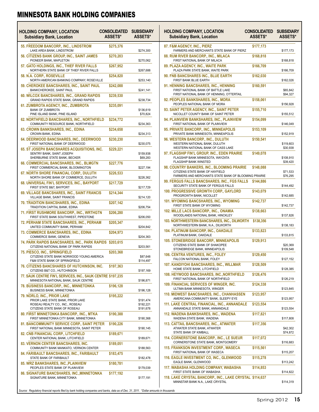| <b>HOLDING COMPANY, LOCATION</b><br><b>Subsidiary Bank, Location</b>                                            | <b>CONSOLIDATED</b><br><b>ASSETS*</b> | SUBSIDIARY<br><b>ASSETS*</b> |
|-----------------------------------------------------------------------------------------------------------------|---------------------------------------|------------------------------|
| 55. FREEDOM BANCORP., INC., LINDSTROM<br>LAKE AREA BANK, LINDSTROM                                              | \$275,376                             | \$274,300                    |
| 56. CITIZENS BANK GROUP, INC., SAINT JAMES<br>PIONEER BANK, MAPLETON                                            | \$270,203                             | \$270,062                    |
| 57. GATO HOLDINGS, INC., THIEF RIVER FALLS<br>NORTHERN STATE BANK OF THIEF RIVER FALLS                          | \$267,952                             | \$267,688                    |
| 58. N.A. CORP., ROSEVILLE<br>NORTH AMERICAN BANKING COMPANY, ROSEVILLE                                          | \$254,820                             | \$253,140                    |
| 59. CHEROKEE BANCSHARES, INC., SAINT PAUL<br>BANKCHEROKEE, SAINT PAUL                                           | \$242,088                             | \$241,141                    |
| 60. WILCOX BANCSHARES, INC., GRAND RAPIDS<br>GRAND RAPIDS STATE BANK, GRAND RAPIDS                              | \$239,530                             | \$238,734                    |
| 61. ZUMBROTA AGENCY, INC., ZUMBROTA<br><b>BANK OF ZUMBROTA</b><br>PINE ISLAND BANK, PINE ISLAND                 | \$235,091                             | \$136,619<br>\$70,824        |
| <b>62. NORTHFIELD BANCSHARES, INC., NORTHFIELD</b><br>COMMUNITY RESOURCE BANK, NORTHFIELD                       | \$234,772                             | \$234,363                    |
| 63. CROWN BANKSHARES, INC., EDINA<br>CROWN BANK, EDINA                                                          | \$234,658                             | \$234,313                    |
| 64. DEERWOOD BANCSHARES, INC., DEERWOOD<br>FIRST NATIONAL BANK OF DEERWOOD                                      | \$230,230                             | \$230,075                    |
| <b>65. ST JOSEPH BANCSHARES ACQUISITIONS. INC.</b><br>SENTRY BANK, SAINT JOSEPH<br>SHERBURNE STATE BANK, BECKER | \$229,221                             | \$159,938<br>\$69,283        |
| 66. COMMERCIAL BANCSHARES, INC., BLMGTN<br>FIRST COMMERCIAL BANK, BLOOMINGTON                                   | \$227,776                             | \$227,194                    |
| <b>67. NORTH SHORE FINANCIAL CORP., DULUTH</b><br>NORTH SHORE BANK OF COMMERCE, DULUTH                          | \$226,533                             | \$226,362                    |
| 68. UNIVERSAL FIN'L SERVICES, INC., BAYPORT<br>FIRST STATE B&T, BAYPORT                                         | \$217,729                             | \$217,729                    |
| 69. VILLAGE BANCSHARES, INC., SAINT FRANCIS<br>VILLAGE BANK, SAINT FRANCIS                                      | \$214,344                             | \$214,120                    |
| 70. TRADITION BANCSHARES, INC., EDINA<br>TRADITION CAPITAL BANK, EDINA                                          | \$207,142                             | \$206,754                    |
| 71. FIRST RUSHMORE BANCORP., INC., WRTHGTN<br>FIRST STATE BANK SOUTHWEST, PIPESTONE                             | \$206,280                             | \$206,050                    |
| 72. PERHAM STATE BANCSHARES, INC., PERHAM<br>UNITED COMMUNITY BANK, PERHAM                                      | \$205,347                             | \$204,842                    |
| 73. COMMERCE BANCSHARES, INC., EDINA<br>COMMERCE BANK, GENEVA                                                   | \$204,973                             | \$204,363                    |
| 74. PARK RAPIDS BANCSHARES, INC., PARK RAPIDS<br>CITIZENS NATIONAL BANK OF PARK RAPIDS                          | \$203,615                             | \$203,561                    |
| 75. PIESCO, INC., SPRINGFIELD<br>CITIZENS STATE BANK NORWOOD YOUNG AMERICA                                      | \$203,368                             | \$87,648                     |
| <b>F&amp;M STATE BANK OF SPRINGFIELD</b><br>76. CITIZENS BANCSHARES OF HUTCHINSON, INC.                         | \$197,363                             | \$114,497                    |
| CITIZENS B&T CO., HUTCHINSON<br>77. SAUK CENTRE FIN'L SERVICES, INC., SAUK CENTRE \$197,235                     |                                       | \$197,169                    |
| MINNESOTA NATIONAL BANK, SAUK CENTRE<br>78. BUSINESS BANCORP., INC., MINNETONKA                                 | \$196,128                             | \$196,871                    |
| BUSINESS BANK, MINNETONKA<br>79. NORLO, INC., PRIOR LAKE                                                        | \$195,222                             | \$196,128                    |
| PRIOR LAKE STATE BANK, PRIOR LAKE<br>ROSEAU REALTY CO., INC., ROSEAU                                            |                                       | \$191,474<br>\$192,221       |
| CITIZENS STATE BANK OF ROSEAU<br>80. FIRST MINNETONKA BANCORP., INC., MTKA                                      | \$190,388                             | \$191,678                    |
| FIRST MINNETONKA CITY BANK, MINNETONKA<br><b>81. BANCOMMUNITY SERVICE CORP., SAINT PETER</b>                    | \$190,226                             | \$190,368                    |
| FIRST NATIONAL BANK MINNESOTA, SAINT PETER<br><b>82. CNB FINANCIAL CORP., LITCHFIELD</b>                        | \$189,671                             | \$190,145                    |
| CENTER NATIONAL BANK, LITCHFIELD<br>83. VERNON CENTER BANCSHARES, INC.                                          | \$189,051                             | \$189,671                    |
| COMMUNITY BANK MANKATO, VERNON CENTER<br>84. FARIBAULT BANCSHARES, INC., FARIBAULT                              | \$183,475                             | \$188,563                    |
| STATE BANK OF FARIBAULT                                                                                         |                                       | \$182,478                    |
| <b>85. WRZ BANKSHARES, INC.,PLAINVIEW</b><br>PEOPLES STATE BANK OF PLAINVIEW                                    | \$180,781                             | \$179,039                    |
| <b>86. SIGNATURE BANCSHARES, INC., MINNETONKA</b><br>SIGNATURE BANK, MINNETONKA                                 | \$177,192                             | \$177,191                    |

| <b>HOLDING COMPANY, LOCATION</b><br><b>Subsidiary Bank, Location</b>                                                                   | Consolidated<br>ASSETS* | <b>SUBSIDIARY</b><br>ASSETS* |
|----------------------------------------------------------------------------------------------------------------------------------------|-------------------------|------------------------------|
| 87. F&M AGENCY, INC., PIERZ<br>FARMERS AND MERCHANTS STATE BANK OF PIERZ                                                               | \$177,173               | \$177,173                    |
| 88. RUM RIVER BANCORP., INC., MILACA<br>FIRST NATIONAL BANK OF MILACA                                                                  | \$168,818               | \$168,818                    |
| 89. PLAZA AGENCY, INC., WAITE PARK<br>PLAZA PARK STATE BANK, WAITE PARK                                                                | \$166,709               | \$166,709                    |
| <b>90. FNB BANCSHARES INC., BLUE EARTH</b><br>FIRST BANK BLUE EARTH                                                                    | \$162,030               | \$162,026                    |
| <b>91. HENNING BANCSHARES, INC., HENNING</b><br>FIRST NATIONAL BANK OF BATTLE LAKE<br>FIRST NATIONAL BANK OF HENNING, OTTERTAIL        | \$160,591               | \$65,842<br>\$94,327         |
| <b>92. PEOPLES BANKSHARES, INC., MORA</b><br>PEOPLES NATIONAL BANK OF MORA                                                             | \$158,061               | \$156,928                    |
| 93. SAINT PETER AGENCY, INC., SAINT PETER<br>NICOLLET COUNTY BANK OF SAINT PETER                                                       | \$155,710               | \$155,512                    |
| <b>94. PLAINVIEW BANKSHARES, INC., PLAINVIEW</b><br>FIRST NATIONAL BANK OF PLAINVIEW                                                   | \$154,099               | \$146,049                    |
| 95. PRIVATE BANCORP., INC., MINNEAPOLIS<br>PRIVATE BANK MINNESOTA, MINNEAPOLIS                                                         | \$153,109               | \$152,919                    |
| <b>96. WESTERN BANCORP., INC., DULUTH</b><br>WESTERN NATIONAL BANK, DULUTH<br>WESTERN NATIONAL BANK OF CASS LAKE                       | \$150,541               | \$119,603<br>\$30,938        |
| 97. FLAGSHIP FIN'L GROUP, INC., EDEN PRAIRIE<br>FLAGSHIP BANK MINNESOTA, WAYZATA<br>FLAGSHIP BANK WINSTED                              | \$149,078               | \$108,910<br>\$39,420        |
| 98. COUNTRY BANKERS, INC., BLOOMING PRAIRIE<br>CITIZENS STATE BANK OF HAYFIELD<br>FARMERS AND MERCHANTS STATE BANK OF BLOOMING PRAIRIE | \$148,088               | \$71,533<br>\$76,295         |
| <b>99. FERGUS FALLS BANCSHARES, INC., FGS FALLS</b><br>SECURITY STATE BANK OF FERGUS FALLS                                             | \$144,886               | \$144,492                    |
| 100. PROGRESSIVE GROWTH CORP., GAYLORD<br>PROGROWTH BANK, NICOLLET                                                                     | \$143,079               | \$142,685                    |
| 101. WYOMING BANCSHARES, INC., WYOMING<br>FIRST STATE BANK OF WYOMING                                                                  | \$142,737               | \$142,737                    |
| 102. MILLE LACS BANCORP., INC., ONAMIA<br>WOODLANDS NATIONAL BANK, HINCKLEY                                                            | \$138,663               | \$137,826                    |
| <b>103. NORTHWESTERN BANCSHARES, INC., DILWORTH</b><br>NORTHWESTERN BANK, N.A., DILWORTH                                               | \$138,356               | \$138,183                    |
| 104. PLATINUM BANCORP, INC., OAKDALE<br>PLATINUM BANK, OAKDALE                                                                         | \$133,823               | \$133,815                    |
| <b>105. STONEBRIDGE BANCORP., MINNEAPOLIS</b><br>CITIZENS STATE BANK OF SHAKOPEE<br>STONEBRIDGE BANK, MINNEAPOLIS                      | \$129,913               | \$20,369<br>\$109,548        |
| 106. CENTRA VENTURES, INC., FOLEY<br>FALCON NATIONAL BANK, FOLEY                                                                       | \$129,450               | \$127,152                    |
| 107. KANDIYOHI BANCSHARES, INC., WILLMAR<br>HOME STATE BANK, LITCHFIELD                                                                | \$128,509               | \$128,385                    |
| <b>108. HEYWOOD BANCSHARES, INC., NORTHFIELD</b><br>FIRST NATIONAL BANK OF NORTHFIELD                                                  | \$126,476               | \$126,219                    |
| 109. FINANCIAL SERVICES OF WINGER, INC.<br>ULTIMA BANK MINNESOTA, WINGER                                                               | \$124,338               | \$123,845                    |
| 110. MIDWEST BANCSHARES, INC., CHANHASSEN<br>AMERICANA COMMUNITY BANK, SLEEPY EYE                                                      | \$123,957               | \$123,957                    |
| 111. LAKE CENTRAL FINANCIAL, INC., ANNANDALE<br>ANNANDALE STATE BANK, ANNANDALE                                                        | \$123,554               | \$123,554                    |
| <u> 112. WADENA BANKSHARES, INC., WADENA</u><br>WADENA STATE BANK, WADENA                                                              | \$117,821               | \$117,808                    |
| 113. CATTAIL BANCSHARES, INC., ATWATER<br>ATWATER STATE BANK, ATWATER<br>STATE BANK OF KIMBALL                                         | \$117,356               | \$42,302<br>\$74,872         |
| <b>114. CORNERSTONE BANCORP., INC., LE SUEUR</b><br>CORNERSTONE STATE BANK, MONTGOMERY                                                 | \$117,072               | \$116,683                    |
| <b>115. FRANKSON INVESTMENT CORP., WASECA</b><br>FIRST NATIONAL BANK OF WASECA                                                         | \$115,561               | \$115,207                    |
| 116. EAGLE INVESTMENT CO, INC., GLENWOOD<br>EAGLE BANK, GLENWOOD                                                                       | \$115,278               | \$113,242                    |
| 117. WABASHA HOLDING COMPANY, WABASHA<br>FIRST STATE BANK OF WABASHA                                                                   | \$114,853               | \$114,822                    |
| 118. LAKE CRYSTAL BANCORP., INC., LAKE CRYSTAL \$114,637<br>MINNSTAR BANK N.A., LAKE CRYSTAL                                           |                         | \$114,319                    |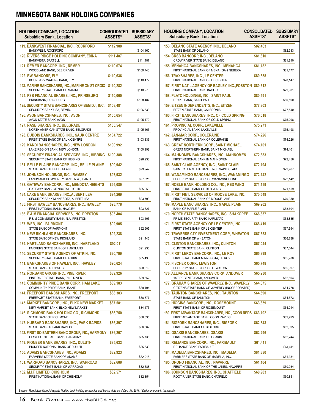| <b>HOLDING COMPANY, LOCATION</b><br><b>Subsidiary Bank, Location</b>                        | <b>CONSOLIDATED</b><br><b>ASSETS*</b> | <b>SUBSIDIARY</b><br><b>ASSETS*</b> |
|---------------------------------------------------------------------------------------------|---------------------------------------|-------------------------------------|
| 119. BANKWEST FINANCIAL, INC., ROCKFORD<br><b>BANKWEST, ROCKFORD</b>                        | \$112,988                             | \$104,160                           |
| <b>120. RIVERS RIDGE HOLDING COMPANY, EDINA</b><br>BANKVISTA, SARTELL                       | \$111,487                             | \$111,487                           |
| <b>121. REMER BANCORP., INC., REMER</b><br>WOODLAND BANK, DEER RIVER                        | \$110,674                             | \$109,743                           |
| <b>122. BW BANCORP, ELY</b><br>BOUNDARY WATERS BANK, ELY                                    | \$110,636                             | \$110,477                           |
| 123. MARINE BANCSHARES, INC., MARINE ON ST CROIX<br>SECURITY STATE BANK OF MARINE           | \$110,282                             | \$110,273                           |
| <b>124. PSB FINANCIAL SHARES, INC., PRINSBURG</b><br>PRINSBANK, PRINSBURG                   | \$110,000                             | \$108,487                           |
| <b>125. SECURITY STATE BANCSHARES OF BEMIDJI, INC.</b><br>SECURITY BANK USA, BEMIDJI        | \$108,481                             | \$106,333                           |
| 126. AVON BANCSHARES, INC., AVON<br>AVON STATE BANK, AVON                                   | \$105,654                             | \$105,470                           |
| <b>127. NASB SHARES, INC., BELGRADE</b><br>NORTH AMERICAN STATE BANK, BELGRADE              | \$105,547                             | \$105,165                           |
| <b>128. DUBOIS BANKSHARES, INC., SAUK CENTRE</b><br>FIRST STATE BANK OF SAUK CENTRE         | \$104,722                             | \$103,336                           |
| <b>129. KANDI BANCSHARES, INC., NEW LONDON</b><br>LAKE REGION BANK, NEW LONDON              | \$100,992                             | \$100,992                           |
| 130. SECURITY FINANCIAL SERVICES, INC., HIBBING \$100,388<br>SECURITY STATE BANK OF HIBBING |                                       | \$98,938                            |
| 131. BELLE PLAINE BANCORP., INC., BELLE PLAINE<br>STATE BANK OF BELLE PLAINE                | \$99,942                              | \$99,942                            |
| <b>132. JOHNSON HOLDINGS, INC., RAMSEY</b><br>LANDMARK COMMUNITY BANK, N.A., ISANTI         | \$97,932                              | \$97,525                            |
| 133. GATEWAY BANCORP., INC., MENDOTA HEIGHTS<br>GATEWAY BANK, MENDOTA HEIGHTS               | \$95,089                              | \$95,059                            |
| 134. LAKE BANK SHARES, INC., ALBERT LEA<br>SECURITY BANK MINNESOTA, ALBERT LEA              | \$94,269                              | \$93,793                            |
| <b>135. FIRST HAWLEY BANCSHARES, INC., HAWLEY</b><br>FIRST NATIONAL BANK, HAWLEY            | \$93,778                              | \$93,527                            |
| 136. F & M FINANCIAL SERVICES, INC., PRESTON<br>F & M COMMUNITY BANK, N.A., PRESTON         | \$93,404                              | \$93,105                            |
| 137. WEB, INC., FAIRMONT<br>STATE BANK OF FAIRMONT                                          | \$92,905                              | \$92,905                            |
| <b>138. NEW RICHLAND BANCSHARES. INC.</b><br>STATE BANK OF NEW RICHLAND                     | \$92,238                              | \$91,446                            |
| <b>139. HARTLAND BANCSHARES, INC., HARTLAND</b><br>FARMERS STATE BANK OF HARTLAND           | \$92,011                              | \$91,930                            |
| <b>140. SECURITY STATE AGENCY OF AITKIN, INC.</b><br>SECURITY STATE BANK OF AITKIN          | \$90,799                              | \$85,433                            |
| <b>141. BANKSHARES OF HAWLEY, INC., HAWLEY</b><br>STATE BANK OF HAWLEY                      | \$90,624                              | \$90,619                            |
| <b>142. NORBANC GROUP INC., PINE RIVER</b><br>PINE RIVER STATE BANK, PINE RIVER             | \$89,926                              | \$89,352                            |
| <b>143. COMMUNITY PRIDE BANK CORP., HAM LAKE</b><br>COMMUNITY PRIDE BANK, ISANTI            | \$89,183                              | \$89,104                            |
| <b>144. FREEPORT BANCSHARES, INC., FREEPORT</b><br>FREEPORT STATE BANK, FREEPORT            | \$88,383                              | \$88,377                            |
| 145. MARKET BANCORP., INC., ELKO NEW MARKET<br>NEW MARKET BANK, ELKO NEW MARKET             | \$87,581                              | \$84,175                            |
| 146. RICHMOND BANK HOLDING CO., RICHMOND<br>STATE BANK OF RICHMOND                          | \$86,750                              | \$86,335                            |
| 147. HUBBARD BANCSHARES, INC., PARK RAPIDS<br>STATE BANK OF PARK RAPIDS                     | \$86,397                              | \$86,367                            |
| 148. FIRST SO.EASTERN BANC GROUP, INC., HARMONY<br>FIRST SOUTHEAST BANK, HARMONY            | \$86,207                              | \$85,738                            |
| <b>149. PIONEER BANK SHARES, INC., DULUTH</b><br>PIONEER NATIONAL BANK OF DULUTH            | \$85,633                              | \$85,630                            |
| 150. ADAMS BANCSHARES, INC., ADAMS<br>FARMERS STATE BANK OF ADAMS                           | \$82,923                              | \$82,918                            |
| 151. WARROAD BANCSHARES, INC., WARROAD<br>SECURITY STATE BANK OF WARROAD                    | \$82,688                              | \$82,688                            |
| <b>152. M.I.F. LIMITED, CHISHOLM</b><br>FIRST NATIONAL BANK OF CHISHOLM                     | \$82,571                              | \$82,354                            |

| <b>HOLDING COMPANY, LOCATION</b><br><b>Subsidiary Bank, Location</b>                           | <b>CONSOLIDATED</b><br><b>ASSETS*</b> | SUBSIDIARY<br><b>ASSETS*</b> |
|------------------------------------------------------------------------------------------------|---------------------------------------|------------------------------|
| <b>153. DELANO STATE AGENCY, INC., DELANO</b><br>STATE BANK OF DELANO                          | \$82,463                              | \$82,333                     |
| <b>154. CRSB BANCORP, INC., DELANO</b><br>CROW RIVER STATE BANK, DELANO                        | \$81,810                              | \$81,810                     |
| 155. MENAHGA BANCSHARES, INC., MENAHGA<br>FIRST NATIONAL BANK OF MENAHGA & SEBEKA              | \$81,182                              | \$81,177                     |
| <b>156. TRAXSHARES, INC., LE CENTER</b><br>FIRST NATIONAL BANK OF LE CENTER                    | \$80,858                              | \$78,147                     |
| 157. FIRST NAT'L AGENCY OF BAGLEY, INC.,FOSSTON<br>FIRST NATIONAL BANK, BAGLEY                 | \$80,612                              | \$79,901                     |
| <b>158. PLATO HOLDINGS, INC., SAINT PAUL</b><br>DRAKE BANK, SAINT PAUL                         | \$80,591                              | \$80,590                     |
| <b>159. EITZEN INDEPENDENTS, INC., EITZEN</b><br>EITZEN STATE BANK, CALEDONIA                  | \$77,803                              | \$77,540                     |
| 160. FIRST BANCSHARES, INC., OF COLD SPRING<br>FIRST NATIONAL BANK OF COLD SPRING              | \$76,018                              | \$75,098                     |
| <b>161. PROVINCIAL CORP., LAKEVILLE</b><br>PROVINCIAL BANK, LAKEVILLE                          | \$75,271                              | \$75,198                     |
| <b>162. JAN-MAR CORP., COLERAINE</b><br>FIRST NATIONAL BANK OF COLERAINE                       | \$74,226                              | \$74,226                     |
| <b>163. GREAT NORTHERN CORP., SAINT MICHAEL</b><br>GREAT NORTHERN BANK, SAINT MICHAEL          | \$74,101                              | \$74,101                     |
| 164. MAHNOMEN BANCSHARES, INC., MAHNOMEN<br>FIRST NATIONAL BANK IN MAHNOMEN                    | \$72,383                              | \$72,456                     |
| <b>165. SAINT CLAIR AGENCY, INC., SAINT CLAIR</b><br>SAINT CLAIR STATE BANK (INC), SAINT CLAIR | \$72,194                              | \$72,967                     |
| 166. WANAMINGO BANCSHARES, INC., WANAMINGO<br>SECURITY STATE BANK OF WANAMINGO, INC.           | \$72,142                              | \$72,142                     |
| 167. NOBLE BANK HOLDING CO., INC., RED WING<br>FIRST STATE BANK OF RED WING                    | \$71,159                              | \$71,159                     |
| 168. FIRST FIN'L SERVICES OF MOOSE LAKE, INC.<br>FIRST NATIONAL BANK OF MOOSE LAKE             | \$70,549                              | \$70,380                     |
| 169. MAPLE BANC SHARES, INC., MAPLE PLAIN<br>BANK OF MAPLE PLAIN                               | \$69,202                              | \$68,604                     |
| 170. NORTH STATE BANCSHARES, INC., SHAKOPEE<br>PRIME SECURITY BANK, KARLSTAD                   | \$68,837                              | \$68,835                     |
| 171. FIRST STATE AGENCY OF LE CENTER, INC.<br>FIRST STATE BANK OF LE CENTER                    | \$68,419                              | \$67,994                     |
| <b>172. TRAVERSE CTY INVESTMENT CORP., WHEATON</b><br>STATE BANK OF WHEATON                    | \$67,653                              | \$66,788                     |
| <b>173. CLINTON BANCSHARES, INC., CLINTON</b><br>CLINTON STATE BANK, CLINTON                   | \$67,044                              | \$67,044                     |
| 174. FIRST LEROY BANCORP., INC., LE ROY<br>FIRST STATE BANK MINNESOTA, LE ROY                  | \$65,899                              | \$65,780                     |
| <b>175. FISCHER CORP., LEWISTON</b><br>SECURITY STATE BANK OF LEWISTON                         | \$65,748                              | \$65,997                     |
| 176. ALLIANCE BANK SHARES CORP., ANDOVER<br>1ST REGENTS BANK, ANDOVER                          | \$65,230                              | \$62,804                     |
| 177. GRAHAM SHARES OF WAVERLY, INC., WAVERLY<br>CITIZENS STATE BANK OF WAVERLY (INCORPORATED)  | \$64,875                              | \$64,778                     |
| 178. TAUNTON BANCSHARES, INC., TAUNTON<br>STATE BANK OF TAUNTON                                | \$64,590                              | \$64,573                     |
| 179. HIGGINS BANCORP., INC., ROSEMOUNT<br>FIRST STATE BANK OF ROSEMOUNT                        | \$63,859                              | \$64,044                     |
| 180. FIRST ADVANTAGE BANCSHARES, INC., COON RPDS<br>FIRST ADVANTAGE BANK, COON RAPIDS          | \$63,102                              | \$62,923                     |
| 181. BIGFORK BANCSHARES, INC., BIGFORK<br>FIRST STATE BANK OF BIGFORK                          | \$62,843                              | \$62,395                     |
| <u> 182. OSAKIS BANCSHARES, OSAKIS</u><br>FIRST NATIONAL BANK OF OSAKIS                        | \$62,296                              | \$62,244                     |
| 183. RELIANCE BANCORP., INC., FARIBAULT<br>RELIANCE BANK, FARIBAULT                            | \$61,411                              | \$61,411                     |
| 184. MADELIA BANCSHARES, INC., MADELIA<br>FARMERS STATE BANK OF MADELIA, INC.                  | \$61,380                              | \$61,331                     |
| 185. ORONO FINANCIAL, INC., NAVARRE<br>FIRST NATIONAL BANK OF THE LAKES, NAVARRE               | \$61,104                              | \$60,934                     |
| 186. JOHNSON BANCSHARES, INC., CHATFIELD<br>ROOT RIVER STATE BANK, CHATFIELD                   | \$60,903                              | \$60,851                     |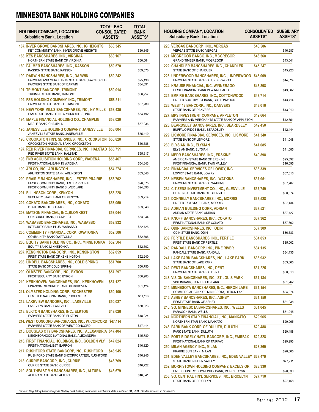| <b>HOLDING COMPANY, LOCATION</b><br><b>Subsidiary Bank, Location</b>                             | <b>TOTAL BHC</b><br><b>CONSOLIDATED</b><br>ASSETS* | <b>TOTAL</b><br><b>BANK</b><br>ASSETS* | <b>HOLDING COMPANY, LOCATION</b><br><b>Subsidiary Bank, Location</b>                                              | <b>CONSOLIDATED</b><br><b>ASSETS*</b> | <b>SUBSIDIARY</b><br>ASSETS* |
|--------------------------------------------------------------------------------------------------|----------------------------------------------------|----------------------------------------|-------------------------------------------------------------------------------------------------------------------|---------------------------------------|------------------------------|
| 187. INVER GROVE BANCSHARES, INC., IG HEIGHTS<br>KEY COMMUNITY BANK, INVER GROVE HEIGHTS         | \$60,345                                           | \$60,345                               | 220. VERGAS BANCORP., INC., VERGAS<br>VERGAS STATE BANK, VERGAS                                                   | \$46,586                              | \$46,287                     |
| <b>188. KES BANCSHARES, INC., VIRGINIA</b><br>NORTHERN STATE BANK OF VIRGINIA                    | \$60,167                                           | \$60,064                               | 221. MCGREGOR BANCO, INC., MCGREGOR<br>GRAND TIMBER BANK, MCGREGOR                                                | \$46,568                              | \$43,041                     |
| <b>189. PALMER BANCSHARES, INC., KASSON</b><br>KASSON STATE BANK, KASSON                         | \$59,570                                           | \$59,570                               | 222. CHANDLER BANCSHARES, INC., CHANDLER<br>STATE BANK OF CHANDLER                                                | \$45,247                              | \$45,226                     |
| <b>190. DARWIN BANCSHARES, INC., DARWIN</b><br>FARMERS AND MERCHANTS STATE BANK, PAYNESVILLE     | \$59,242                                           | \$25,136                               | <b>223. UNDERWOOD BANCSHARES, INC., UNDERWOOD</b><br>FARMERS STATE BANK OF UNDERWOOD                              | \$45,009                              | \$44,824                     |
| FARMERS STATE BANK OF DARWIN<br><b>191. TRIMONT BANCORP., TRIMONT</b>                            | \$59,014                                           | \$34,091                               | <b>224. KRAUSE FINANCIAL, INC., WINNEBAGO</b><br>FIRST FINANCIAL BANK IN WINNEBAGO                                | \$43,898                              | \$43,882                     |
| TRIUMPH STATE BANK, TRIMONT<br><b>192. FSB HOLDING COMPANY, INC., TRIMONT</b>                    | \$58,511                                           | \$58,957                               | <b>225. EMPIRE BANCSHARES, INC., COTTONWOOD</b><br>UNITED SOUTHWEST BANK, COTTONWOOD                              | \$43,714                              | \$43,714                     |
| FARMERS STATE BANK OF TRIMONT<br>193. NEW YORK MILLS BANCSHARES, INC., NY MILLS \$58,435         |                                                    | \$57,789                               | 226. WEST 12 BANCORP., INC., DANVERS<br>STATE BANK OF DANVERS                                                     | \$43,010                              | \$43,010                     |
| F&M STATE BANK OF NEW YORK MILLS, INC.<br><b>194. MAPLE FINANCIAL HOLDING CO., CHAMPLIN</b>      | \$58,020                                           | \$54,192                               | <b>227. MPS INVESTMENT COMPANY, APPLETON</b><br>FARMERS AND MERCHANTS STATE BANK OF APPLETON                      | \$42,664                              |                              |
| MAPLE BANK, CHAMPLIN                                                                             |                                                    | \$57,936                               | 228. BEARDSLEY BANCSHARES, INC., BEARDSLEY                                                                        | \$42,450                              | \$42,651                     |
| <b>195. JANESVILLE HOLDING COMPANY, JANESVILLE</b><br>JANESVILLE STATE BANK, JANESVILLE          | \$58,004                                           | \$55,410                               | BUFFALO RIDGE BANK, BEARDSLEY<br>229. LISMORE FINANCIAL SERVICES, INC., LISMORE                                   | \$41,340                              | \$42,444                     |
| 196. CROOKSTON FIN'L SERVICES, INC., CROOKSTON \$56,828<br>CROOKSTON NATIONAL BANK, CROOKSTON    |                                                    | \$56,686                               | STATE BANK OF LISMORE<br>230. ELYSIAN, INC., ELYSIAN                                                              | \$41,085                              | \$41,048                     |
| 197. RED RIVER FINANCIAL SERVICES, INC., HALSTAD \$55,751<br>RED RIVER STATE BANK, HALSTAD       |                                                    | \$55,617                               | ELYSIAN BANK, ELYSIAN                                                                                             |                                       | \$41,085                     |
| <b>198. FNB ACQUISITION HOLDING CORP., WADENA</b><br>FIRST NATIONAL BANK IN WADENA               | \$55,467                                           | \$54,643                               | <b>231. MEDR BANCSHARES, INC., ERSKINE</b><br>AMERICAN STATE BANK OF ERSKINE<br>FIRST FINANCIAL BANK, TWIN VALLEY | \$40,898                              | \$25,092<br>\$16,095         |
| <b>199. ARLCO, INC., ARLINGTON</b><br>ARLINGTON STATE BANK, ARLINGTON                            | \$54,274                                           | \$53,846                               | 232. FINANCIAL SERVICES OF LOWRY, INC.<br>LOWRY STATE BANK, LOWRY                                                 | \$38,339                              | \$37,616                     |
| <b>200. PRAIRIE BANCSHARES, INC., LESTER PRAIRIE</b><br>FIRST COMMUNITY BANK, LESTER PRAIRIE     | \$53,702                                           | \$28,575                               | 233. NEISEN BANCSHARES, INC., WATKINS<br>FARMERS STATE BANK OF WATKINS                                            | \$37,951                              | \$37,707                     |
| FIRST COMMUNITY BANK SILVER LAKE<br><b>201. ELLINGSON CORP., KENYON</b>                          | \$53,228                                           | \$24,896                               | 234. CITIZENS INVESTMENT CO., INC., GLENVILLE<br>CITIZENS STATE BANK OF GLENVILLE                                 | \$37,749                              | \$38,374                     |
| SECURITY STATE BANK OF KENYON<br>202. COKATO BANCSHARES, INC., COKATO                            | \$53,050                                           | \$53,214                               | 235. DONNELLY BANCSHARES, INC., MORRIS<br>UNITED F&M STATE BANK, MORRIS                                           | \$37,528                              | \$37,434                     |
| STATE BANK OF COKATO<br>203. MATSON FINANCIAL, INC., BLOMKEST                                    | \$53,044                                           | \$53,046                               | <b>236. ADRIAN BUILDING CORP., ADRIAN</b><br>ADRIAN STATE BANK, ADRIAN                                            | \$37,521                              | \$37,427                     |
| CONCORDE BANK, BLOMKEST<br>204. WABASSO BANCSHARES, INC., WABASSO                                | \$52,832                                           | \$53,044                               | 237. KNOFF BANCSHARES, INC., COKATO<br>FIRST NATIONAL BANK OF COKATO                                              | \$37,362                              | \$37,362                     |
| INTEGRITY BANK PLUS, WABASSO                                                                     |                                                    | \$52,725                               | <b>238. ODIN BANCSHARES, INC., ODIN</b>                                                                           | \$37,309                              |                              |
| <b>205. COMMUNITY FINANCIAL CORP., OWATONNA</b><br>COMMUNITY BANK OWATONNA                       | \$52,506                                           | \$52,506                               | ODIN STATE BANK, ODIN<br><b>239. FERTILE BANCSHARES, INC., FERTILE</b>                                            | \$34,853                              | \$36,683                     |
| 206. EQUITY BANK HOLDING CO., INC., MINNETONKA<br>EQUITY BANK, MINNETONKA                        | \$52,504                                           | \$52,602                               | FIRST STATE BANK OF FERTILE<br>240. RANDALL BANCORP, INC., PINE RIVER                                             | \$34,135                              | \$35,002                     |
| 207. KENSINGTON BANCORP., INC., KENSINGTON<br>FIRST STATE BANK OF KENSINGTON                     | \$52,059                                           | \$52,240                               | RANDALL STATE BANK, RANDALL<br>241. LAKE PARK BANCSHARES, INC., LAKE PARK                                         | \$33,932                              | \$34,135                     |
| 208. LINDELL BANCSHARES, INC., COLD SPRING<br>STATE BANK OF COLD SPRING                          | \$51,700                                           |                                        | STATE BANK OF LAKE PARK                                                                                           |                                       | \$33,665                     |
| 209. OLMSTED BANCORP., INC., BYRON                                                               | \$51,297                                           | \$50,750                               | 242. DENT BANCSHARES, INC., DENT<br>FARMERS STATE BANK OF DENT                                                    | \$31,225                              | \$30,810                     |
| FIRST SECURITY BANK, BYRON<br>210. KERKHOVEN BANCSHARES, INC., KERKHOVEN                         | \$51,127                                           | \$50,903                               | 243. VISION BANCSHARES, INC., ST LOUIS PARK<br>VISIONBANK, SAINT LOUIS PARK                                       | \$31,184                              | \$31,262                     |
| FINANCIAL SECURITY BANK, KERKHOVEN<br>211. OLMSTED HOLDING CORP., ROCHESTER                      | \$50,100                                           | \$51,124                               | 244. MINNESOTA BANCSHARES, INC., HERON LAKE<br>COMMERCIAL BANK OF MINNESOTA, HERON LAKE                           | \$31,154                              | \$34,974                     |
| OLMSTED NATIONAL BANK, ROCHESTER                                                                 |                                                    | \$51,118                               | <b>245. ASHBY BANCSHARES, INC., ASHBY</b>                                                                         | \$31,150                              |                              |
| 212. LAKEVIEW BANCORP., INC., LAKEVILLE<br>LAKEVIEW BANK, LAKEVILLE                              | \$50,027                                           | \$50,023                               | FIRST STATE BANK OF ASHBY<br>246. SO. MINNESOTA BANCSHARES, INC., WELLS                                           | \$31,045                              | \$31,038                     |
| 213. ELKTON BANCSHARES, INC., ELKTON<br>FARMERS STATE BANK OF ELKTON                             | \$49,026                                           | \$48,924                               | PARAGON BANK, WELLS<br>247. NORTHERN STAR FINANCIAL, INC., MANKATO                                                | \$29,965                              | \$31,045                     |
| 214. WEST CONCORD BANCSHARES, INC., W. CONCORD \$47,414<br>FARMERS STATE BANK OF WEST CONCORD    |                                                    | \$47,414                               | NORTHERN STAR BANK, MANKATO<br><b>248. PARK BANK CORP. OF DULUTH, DULUTH</b>                                      | \$29,488                              | \$29,965                     |
| 215. DOUGLAS CTY BANCSHARES, INC., ALEXANDRIA \$47,404<br>NEIGHBORHOOD NATIONAL BANK, ALEXANDRIA |                                                    | \$45,780                               | PARK STATE BANK, DULUTH<br>249. FORT RIDGELY NAT'L BANCORP., INC., FAIRFAX                                        |                                       | \$29,488                     |
| 216. FIRST FINANCIAL HOLDINGS, INC., GOLDEN VLY<br>FIRST NATIONAL B&T, BARRON                    | \$47,024                                           | \$46,820                               | FIRST NATIONAL BANK OF FAIRFAX                                                                                    | \$29,328                              | \$29,293                     |
| 217. RUSHFORD STATE BANCORP, INC., RUSHFORD                                                      | \$46,945                                           |                                        | 250. MILAN AGENCY, INC., MILAN<br>PRAIRIE SUN BANK, MILAN                                                         | \$28,869                              | \$28,805                     |
| RUSHFORD STATE BANK (INCORPORATED), RUSHFORD<br>218. CURRIE BANCORP., INC., CURRIE               | \$46,769                                           | \$46,945                               | 251. EDEN VALLEY BANCSHARES, INC., EDEN VALLEY \$28,479<br>STATE BANK IN EDEN VALLEY                              |                                       | \$27,711                     |
| CURRIE STATE BANK, CURRIE<br>219. SOUTHEAST MN BANCSHARES, INC., ALTURA                          | \$46,679                                           | \$46,722                               | <b>252. MORRISTOWN HOLDING COMPANY, EXCELSIOR</b><br>LAKE COUNTRY COMMUNITY BANK, MORRISTOWN                      | \$28,330                              | \$28,330                     |
| ALTURA STATE BANK, ALTURA                                                                        |                                                    | \$46,641                               | 253. SO. CENTRAL FIN'L SERVICES, INC., BRICELYN<br>STATE BANK OF BRICELYN                                         | \$27,710                              | \$27,458                     |
|                                                                                                  |                                                    |                                        |                                                                                                                   |                                       |                              |

*Source: Regulatory financial reports filed by bank holding companies and banks, data as of Dec. 31, 2011. \*Dollar amounts in thousands*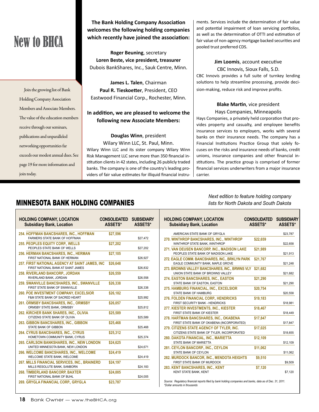# New to BHCA

Join the growing list of Bank Holding Company Association Members and Associate Members. The value of the education members receive through our seminars, publications and unparalleled networking opportunities far exceeds our modest annual dues. See page 19 for more information and join today.

#### **The Bank Holding Company Association welcomes the following holding companies which recently have joined the association:**

**Roger Beuning**, secretary **Loren Beste, vice president, treasurer** Dubois BankShares, Inc., Sauk Centre, Minn.

**James L. Talen**, Chairman **Paul R. Tieskoetter**, President, CEO Eastwood Financial Corp., Rochester, Minn.

#### **In addition, we are pleased to welcome the following new Associate Members:**

**Douglas Winn**, president

Wilary Winn LLC, St. Paul, Minn. Wilary Winn LLC and its sister company Wilary Winn Risk Management LLC serve more than 350 financial institution clients in 42 states, including 26 publicly traded banks. The company is one of the country's leading providers of fair value estimates for illiquid financial instruments. Services include the determination of fair value and potential impairment of loan servicing portfolios, as well as the determination of OTTI and estimation of fair value of non-agency mortgage backed securities and pooled trust preferred CDS.

**Jim Loomis**, account executive CBC Innovis, Sioux Falls, S.D. CBC Innovis provides a full suite of turnkey lending solutions to help streamline processing, provide decision-making, reduce risk and improve profits.

#### **Blake Martin**, vice president Hays Companies, Minneapolis

Hays Companies, a privately held corporation that provides property and casualty, and employee benefits insurance services to employers, works with several banks on their insurance needs. The company has a Financial Institutions Practice Group that solely focuses on the risks and insurance needs of banks, credit unions, insurance companies and other financial institutions. The practice group is comprised of former financial services underwriters from a major insurance carrier.

### MINNESOTA BANK HOLDING COMPANIES

| <b>HOLDING COMPANY, LOCATION</b><br><b>Subsidiary Bank, Location</b>                       | <b>CONSOLIDATED</b><br>ASSETS* | <b>SUBSIDIARY</b><br>ASSETS* |
|--------------------------------------------------------------------------------------------|--------------------------------|------------------------------|
| 254. HOFFMAN BANCSHARES, INC., HOFFMAN<br>FARMERS STATE BANK OF HOFFMAN                    | \$27,596                       | \$27,472                     |
| <b>255. PEOPLES EQUITY CORP., WELLS</b><br>PEOPLES STATE BANK OF WELLS                     | \$27,202                       | \$27,202                     |
| <b>256. HERMAN BANCSHARES, INC., HERMAN</b><br>FIRST NATIONAL BANK OF HERMAN               | \$27,105                       | \$26,927                     |
| 257. FIRST NATIONAL AGENCY AT SAINT JAMES, INC<br>FIRST NATIONAL BANK AT SAINT JAMES       | \$26,648                       | \$26,832                     |
| <b>258. RIVERLAND BANCORP., JORDAN</b><br>RIVERLAND BANK, JORDAN                           | \$26,559                       | \$26,558                     |
| 259. SWANVILLE BANCSHARES, INC., SWANVILLE<br>FIRST STATE BANK OF SWANVILLE                | \$26,338                       | \$26,338                     |
| <b>260. POE INVESTMENT COMPANY, EXCELSIOR</b><br><b>F&amp;M STATE BANK OF SACRED HEART</b> | \$26.182                       | \$25,992                     |
| <b>261. ORMSBY BANCSHARES. INC., ORMSBY</b><br>ORMSBY STATE BANK, ORMSBY                   | \$26,057                       | \$25,812                     |
| 262. KIRCHER BANK SHARES, INC., OLIVIA<br>CITIZENS STATE BANK OF OLIVIA                    | \$25,589                       | \$25,589                     |
| 263. GIBBON BANCSHARES, INC., GIBBON<br><b>STATE BANK OF GIBBON</b>                        | \$25,468                       | \$25,468                     |
| <b>264. CYRUS BANCSHARES, INC., CYRUS</b><br>HOMETOWN COMMUNITY BANK, CYRUS                | \$25,312                       | \$25,374                     |
| <b>265. CARLSON BANKSHARES, INC., NEW LONDON</b><br>UNITED MINNESOTA BANK, NEW LONDON      | \$24,625                       | \$24,671                     |
| <b>266. WELCOME BANCSHARES. INC., WELCOME</b><br>WELCOME STATE BANK, WELCOME               | \$24,419                       | \$24,419                     |
| 267. MILLS FINANCIAL SERVICES, INC., BRAINERD<br>MILLS RESOLUTE BANK, SANBORN              | \$24.197                       | \$24,183                     |
| <b>268. TIMBERLAND BANCORP, BAXTER</b><br>FIRST NATIONAL BANK OF BUHL                      | \$24,005                       | \$24,005                     |
| 269. GRYGLA FINANCIAL CORP., GRYGLA                                                        | \$23,787                       |                              |

*Next edition to feature holding company lists for North Dakota and South Dakota*

| <b>HOLDING COMPANY, LOCATION</b><br><b>Subsidiary Bank, Location</b>                    | <b>CONSOLIDATED</b><br><b>ASSETS*</b> | <b>SUBSIDIARY</b><br>ASSETS* |
|-----------------------------------------------------------------------------------------|---------------------------------------|------------------------------|
| AMERICAN STATE BANK OF GRYGLA                                                           |                                       | \$23,787                     |
| 270. WINTHROP BANCSHARES, INC., WINTHROP<br>WINTHROP STATE BANK, WINTHROP               | \$22,659                              | \$22,658                     |
| 271. VAN DEUSEN BANCORP. INC., MADISON LAKE<br>PEOPLES STATE BANK OF MADISON LAKE       | \$21.989                              | \$21,913                     |
| 272. EAGLE COMM. BANCSHARES, INC., BRKLYN PARK<br>EAGLE COMMUNITY BANK. MAPLE GROVE     | \$21,767                              | \$21,248                     |
| 273. BROWNS VALLEY BANCSHARES, INC., BRWNS VLY<br>UNION STATE BANK OF BROWNS VALLEY     | \$21.682                              | \$21,682                     |
| <b>274. EASTON BANCSHARES, INC., EASTON</b><br>STATE BANK OF EASTON, EASTON             | \$21,290                              | \$21,290                     |
| 275. HAMBURG FINANCIAL, INC., EXCELSIOR<br>STATE BANK OF HAMBURG                        | \$20,754                              | \$20,558                     |
| 276. FOLDEN FINANCIAL CORP., HENDRICKS<br>FIRST SECURITY BANK - HENDRICKS               | \$19,183                              | \$18,981                     |
| 277. KIESTER INVESTMENTS, INC., KIESTER<br>FIRST STATE BANK OF KIESTER                  | \$18,467                              | \$18,449                     |
| 278. HARTMAN BANCSHARES, INC., OKABENA<br>FIRST STATE BANK OF OKABENA (INCORPORATED)    | \$17.847                              | \$17,847                     |
| 279. CITIZENS STATE AGENCY OF TYLER, INC.<br>CITIZENS STATE BANK OF TYLER, INCORPORATED | \$17,025                              | \$18,655                     |
| <b>280. DAKOTA FINANCIAL. INC., MARIETTA</b><br>STATE BANK OF MARIETTA                  | \$12,109                              | \$12,109                     |
| 281. CEYLON BANCORP., INC., CEYLON<br>STATE BANK OF CEYLON                              | \$11,062                              | \$11,062                     |
| <b>282. MURDOCK BANCOR, INC., MENDOTA HEIGHTS</b><br>FIRST STATE BANK OF MURDOCK        | \$9,510                               | \$9,509                      |
| <b>283. KENT BANCSHARES, INC., KENT</b><br><b>KENT STATE BANK, KENT</b>                 | \$7,120                               | \$7,120                      |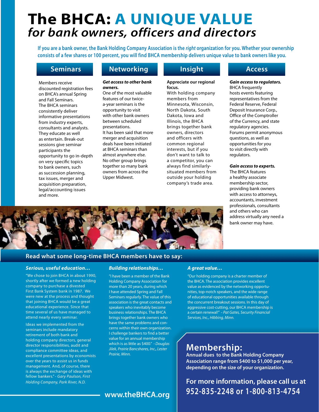# **The BHCA: A unique value** *for bank owners, officers and directors*

**If you are a bank owner, the Bank Holding Company Association is the** *right* **organization for you. Whether your ownership consists of a few shares or 100 percent, you will find BHCA membership delivers unique value to bank owners like you.**

#### **Seminars**

Members receive discounted registration fees on BHCA's annual Spring and Fall Seminars. The BHCA seminars consistently deliver informative presentations from industry experts, consultants and analysts. They educate as well as entertain. Break-out sessions give seminar participants the opportunity to go in-depth on very specific topics to bank owners, such as succession planning, tax issues, merger and acquisition preparation, legal/accounting issues and more.

#### **Networking**

#### *Get access to other bank owners.*

One of the most valuable features of our twicea-year seminars is the opportunity to visit with other bank owners between scheduled presentations. It has been said that more merger and acquisition deals have been initiated at BHCA seminars than almost anywhere else. No other group brings together so many bank owners from across the Upper Midwest.

#### **Insight**

#### **Appreciate our regional focus.**

With holding company members from Minnesota, Wisconsin, North Dakota, South Dakota, Iowa and Illinois, the BHCA brings together bank owners, directors and officers with common regional interests, but if you don't want to talk to a competitor, you can always find similarlysituated members from outside your holding company's trade area.

#### **Access**

#### *Gain access to regulators.*

BHCA frequently hosts events featuring representatives from the Federal Reserve, Federal Deposit Insurance Corp., Office of the Comptroller of the Currency, and state regulatory agencies. Forums permit anonymous questions, as well as opportunities for you to visit directly with regulators.

#### *Gain access to experts.*

The BHCA features a healthy associate membership sector, providing bank owners with access to attorneys, accountants, investment professionals, consultants and others who can address virtually any need a bank owner may have.



#### **Read what some long-time BHCA members have to say:**

#### *Serious, useful education…*

"We chose to join BHCA in about 1990, shortly after we formed a new holding company to purchase a divested First Bank System bank in 1987. We were new at the process and thought that joining BHCA would be a great educational experience. Since that time several of us have managed to attend nearly every seminar.

Ideas we implemented from the seminars include mandatory retirement of both bank and holding company directors, general director responsibilities, audit and compliance committee ideas, and excellent presentations by economists over the years to assist us in funds management. And, of course, there is always the exchange of ideas with fellow bankers." - *Gary Paulson, First Holding Company, Park River, N.D.*

#### *Building relationships…*

"I have been a member of the Bank Holding Company Association for more than 20 years, during which I have attended Spring and Fall Seminars regularly. The value of this association is the great contacts and speakers who inevitably become business relationships. The BHCA brings together bank owners who have the same problems and concerns within their own organization. I challenge bankers to find a better value for an annual membership which is as little as \$400." *- Douglas Jilek, Prairie Bancshares, Inc., Lester Prairie, Minn.*

#### *A great value…*

"Our holding company is a charter member of the BHCA. The association provides excellent value as evidenced by the networking opportunities, top-notch speakers, and the wide range of educational opportunities available through the concurrent breakout sessions. In this day of aggressive cost-cutting, our BHCA membership is a certain renewal!" - *Pat Gates, Security Financial Services, Inc., Hibbing, Minn.*

### **Membership:**

**Annual dues to the Bank Holding Company Association range from \$400 to \$1,000 per year, depending on the size of your organization.**

**For more information, please call us at 952-835-2248 or 1-800-813-4754**

**www.theBHCA.org**